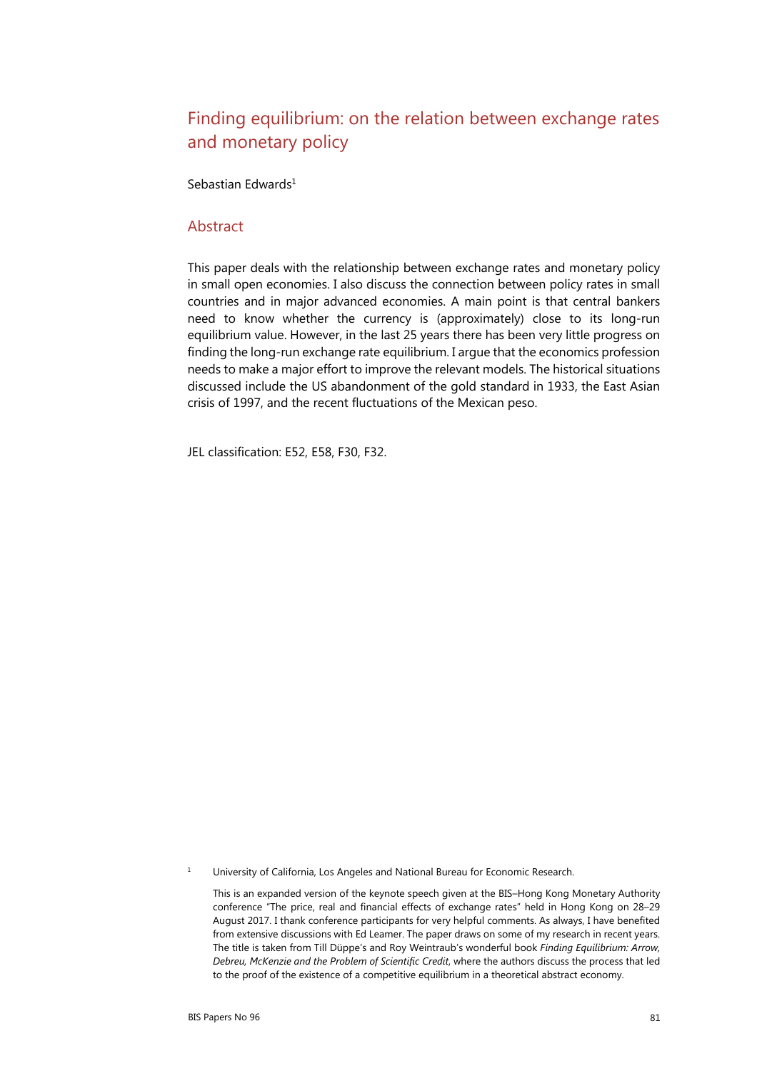# Finding equilibrium: on the relation between exchange rates and monetary policy

Sebastian Edwards<sup>1</sup>

#### **Abstract**

This paper deals with the relationship between exchange rates and monetary policy in small open economies. I also discuss the connection between policy rates in small countries and in major advanced economies. A main point is that central bankers need to know whether the currency is (approximately) close to its long-run equilibrium value. However, in the last 25 years there has been very little progress on finding the long-run exchange rate equilibrium. I argue that the economics profession needs to make a major effort to improve the relevant models. The historical situations discussed include the US abandonment of the gold standard in 1933, the East Asian crisis of 1997, and the recent fluctuations of the Mexican peso.

JEL classification: E52, E58, F30, F32.

1 University of California, Los Angeles and National Bureau for Economic Research.

 This is an expanded version of the keynote speech given at the BIS–Hong Kong Monetary Authority conference "The price, real and financial effects of exchange rates" held in Hong Kong on 28–29 August 2017. I thank conference participants for very helpful comments. As always, I have benefited from extensive discussions with Ed Leamer. The paper draws on some of my research in recent years. The title is taken from Till Düppe's and Roy Weintraub's wonderful book *Finding Equilibrium: Arrow, Debreu, McKenzie and the Problem of Scientific Credit*, where the authors discuss the process that led to the proof of the existence of a competitive equilibrium in a theoretical abstract economy.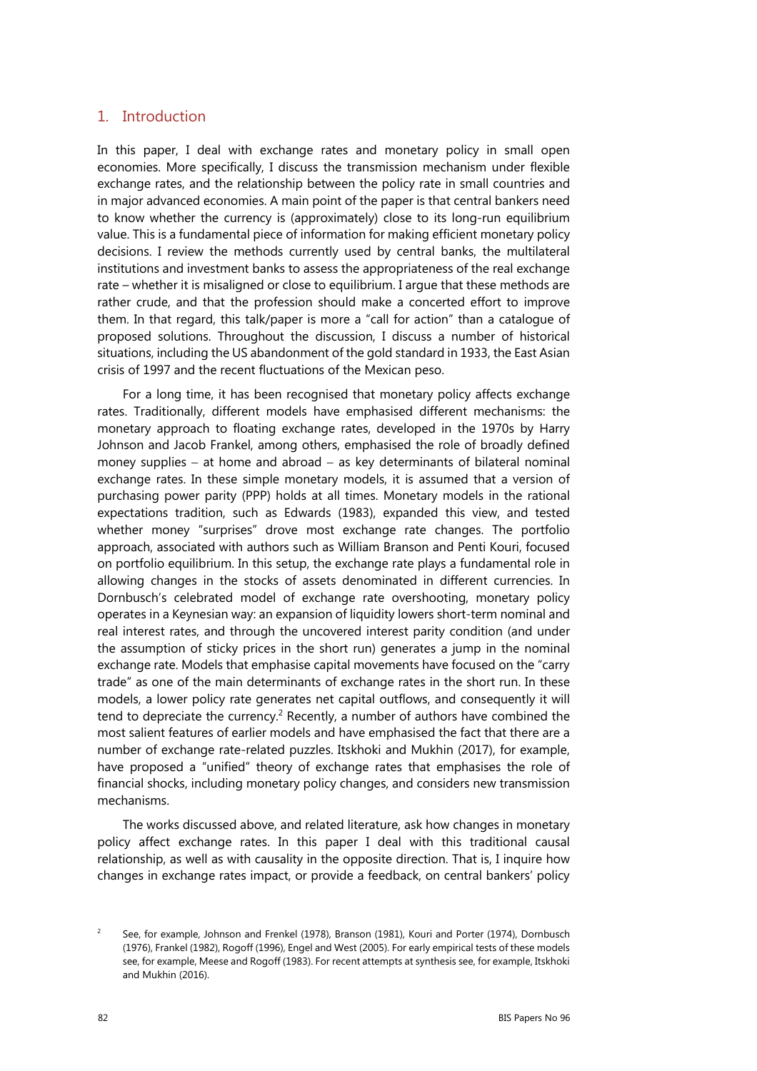#### 1. Introduction

In this paper, I deal with exchange rates and monetary policy in small open economies. More specifically, I discuss the transmission mechanism under flexible exchange rates, and the relationship between the policy rate in small countries and in major advanced economies. A main point of the paper is that central bankers need to know whether the currency is (approximately) close to its long-run equilibrium value. This is a fundamental piece of information for making efficient monetary policy decisions. I review the methods currently used by central banks, the multilateral institutions and investment banks to assess the appropriateness of the real exchange rate – whether it is misaligned or close to equilibrium. I argue that these methods are rather crude, and that the profession should make a concerted effort to improve them. In that regard, this talk/paper is more a "call for action" than a catalogue of proposed solutions. Throughout the discussion, I discuss a number of historical situations, including the US abandonment of the gold standard in 1933, the East Asian crisis of 1997 and the recent fluctuations of the Mexican peso.

For a long time, it has been recognised that monetary policy affects exchange rates. Traditionally, different models have emphasised different mechanisms: the monetary approach to floating exchange rates, developed in the 1970s by Harry Johnson and Jacob Frankel, among others, emphasised the role of broadly defined money supplies  $-$  at home and abroad  $-$  as key determinants of bilateral nominal exchange rates. In these simple monetary models, it is assumed that a version of purchasing power parity (PPP) holds at all times. Monetary models in the rational expectations tradition, such as Edwards (1983), expanded this view, and tested whether money "surprises" drove most exchange rate changes. The portfolio approach, associated with authors such as William Branson and Penti Kouri, focused on portfolio equilibrium. In this setup, the exchange rate plays a fundamental role in allowing changes in the stocks of assets denominated in different currencies. In Dornbusch's celebrated model of exchange rate overshooting, monetary policy operates in a Keynesian way: an expansion of liquidity lowers short-term nominal and real interest rates, and through the uncovered interest parity condition (and under the assumption of sticky prices in the short run) generates a jump in the nominal exchange rate. Models that emphasise capital movements have focused on the "carry trade" as one of the main determinants of exchange rates in the short run. In these models, a lower policy rate generates net capital outflows, and consequently it will tend to depreciate the currency.<sup>2</sup> Recently, a number of authors have combined the most salient features of earlier models and have emphasised the fact that there are a number of exchange rate-related puzzles. Itskhoki and Mukhin (2017), for example, have proposed a "unified" theory of exchange rates that emphasises the role of financial shocks, including monetary policy changes, and considers new transmission mechanisms.

The works discussed above, and related literature, ask how changes in monetary policy affect exchange rates. In this paper I deal with this traditional causal relationship, as well as with causality in the opposite direction. That is, I inquire how changes in exchange rates impact, or provide a feedback, on central bankers' policy

 $\overline{2}$  See, for example, Johnson and Frenkel (1978), Branson (1981), Kouri and Porter (1974), Dornbusch (1976), Frankel (1982), Rogoff (1996), Engel and West (2005). For early empirical tests of these models see, for example, Meese and Rogoff (1983). For recent attempts at synthesis see, for example, Itskhoki and Mukhin (2016).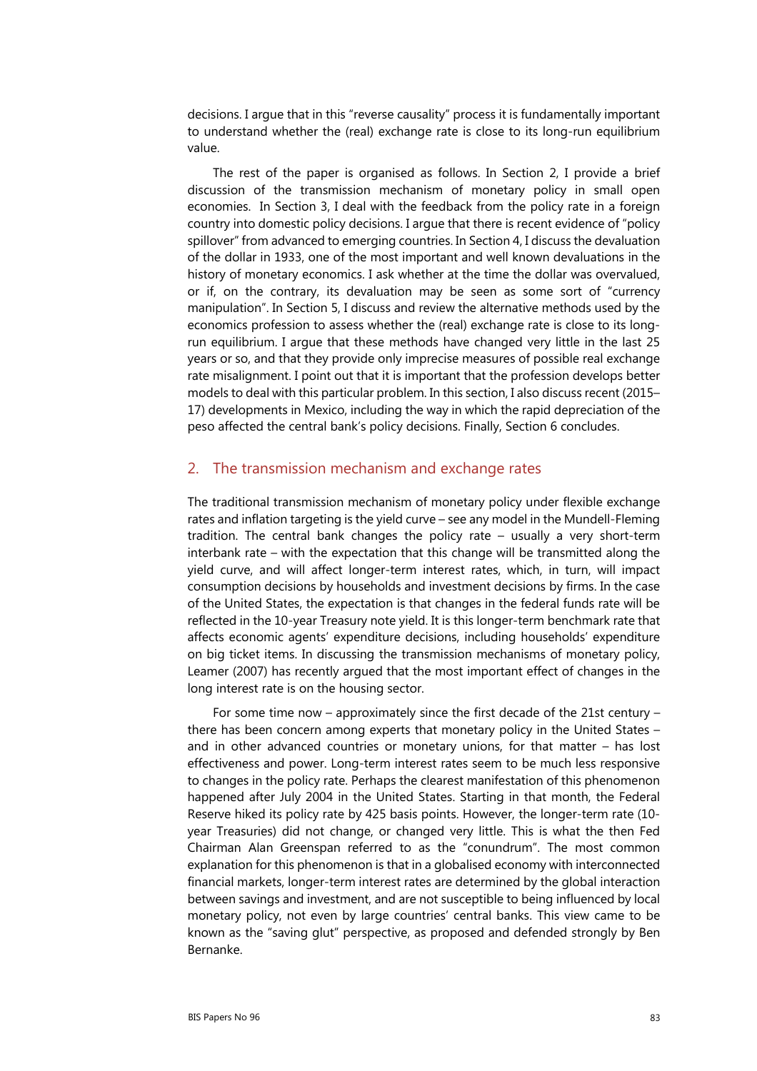decisions. I argue that in this "reverse causality" process it is fundamentally important to understand whether the (real) exchange rate is close to its long-run equilibrium value.

The rest of the paper is organised as follows. In Section 2, I provide a brief discussion of the transmission mechanism of monetary policy in small open economies. In Section 3, I deal with the feedback from the policy rate in a foreign country into domestic policy decisions. I argue that there is recent evidence of "policy spillover" from advanced to emerging countries. In Section 4, I discuss the devaluation of the dollar in 1933, one of the most important and well known devaluations in the history of monetary economics. I ask whether at the time the dollar was overvalued, or if, on the contrary, its devaluation may be seen as some sort of "currency manipulation". In Section 5, I discuss and review the alternative methods used by the economics profession to assess whether the (real) exchange rate is close to its longrun equilibrium. I argue that these methods have changed very little in the last 25 years or so, and that they provide only imprecise measures of possible real exchange rate misalignment. I point out that it is important that the profession develops better models to deal with this particular problem. In this section, I also discuss recent (2015– 17) developments in Mexico, including the way in which the rapid depreciation of the peso affected the central bank's policy decisions. Finally, Section 6 concludes.

#### 2. The transmission mechanism and exchange rates

The traditional transmission mechanism of monetary policy under flexible exchange rates and inflation targeting is the yield curve – see any model in the Mundell-Fleming tradition. The central bank changes the policy rate – usually a very short-term interbank rate – with the expectation that this change will be transmitted along the yield curve, and will affect longer-term interest rates, which, in turn, will impact consumption decisions by households and investment decisions by firms. In the case of the United States, the expectation is that changes in the federal funds rate will be reflected in the 10-year Treasury note yield. It is this longer-term benchmark rate that affects economic agents' expenditure decisions, including households' expenditure on big ticket items. In discussing the transmission mechanisms of monetary policy, Leamer (2007) has recently argued that the most important effect of changes in the long interest rate is on the housing sector.

For some time now – approximately since the first decade of the 21st century – there has been concern among experts that monetary policy in the United States – and in other advanced countries or monetary unions, for that matter – has lost effectiveness and power. Long-term interest rates seem to be much less responsive to changes in the policy rate. Perhaps the clearest manifestation of this phenomenon happened after July 2004 in the United States. Starting in that month, the Federal Reserve hiked its policy rate by 425 basis points. However, the longer-term rate (10 year Treasuries) did not change, or changed very little. This is what the then Fed Chairman Alan Greenspan referred to as the "conundrum". The most common explanation for this phenomenon is that in a globalised economy with interconnected financial markets, longer-term interest rates are determined by the global interaction between savings and investment, and are not susceptible to being influenced by local monetary policy, not even by large countries' central banks. This view came to be known as the "saving glut" perspective, as proposed and defended strongly by Ben Bernanke.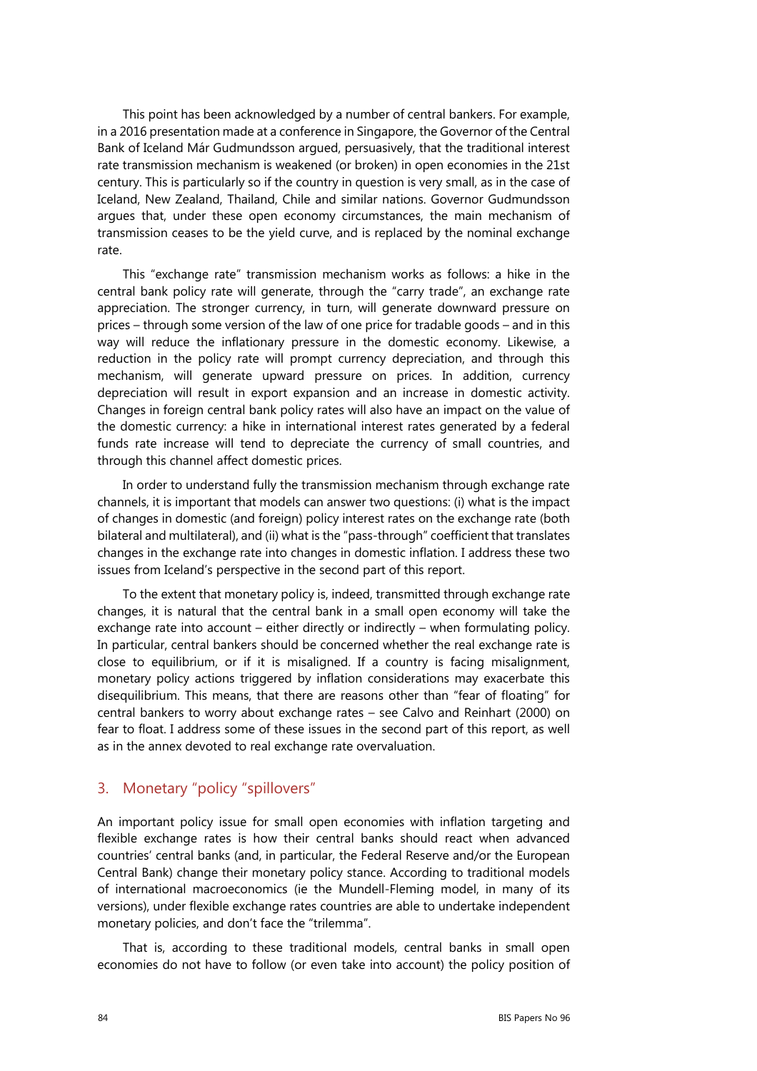This point has been acknowledged by a number of central bankers. For example, in a 2016 presentation made at a conference in Singapore, the Governor of the Central Bank of Iceland Már Gudmundsson argued, persuasively, that the traditional interest rate transmission mechanism is weakened (or broken) in open economies in the 21st century. This is particularly so if the country in question is very small, as in the case of Iceland, New Zealand, Thailand, Chile and similar nations. Governor Gudmundsson argues that, under these open economy circumstances, the main mechanism of transmission ceases to be the yield curve, and is replaced by the nominal exchange rate.

This "exchange rate" transmission mechanism works as follows: a hike in the central bank policy rate will generate, through the "carry trade", an exchange rate appreciation. The stronger currency, in turn, will generate downward pressure on prices – through some version of the law of one price for tradable goods – and in this way will reduce the inflationary pressure in the domestic economy. Likewise, a reduction in the policy rate will prompt currency depreciation, and through this mechanism, will generate upward pressure on prices. In addition, currency depreciation will result in export expansion and an increase in domestic activity. Changes in foreign central bank policy rates will also have an impact on the value of the domestic currency: a hike in international interest rates generated by a federal funds rate increase will tend to depreciate the currency of small countries, and through this channel affect domestic prices.

In order to understand fully the transmission mechanism through exchange rate channels, it is important that models can answer two questions: (i) what is the impact of changes in domestic (and foreign) policy interest rates on the exchange rate (both bilateral and multilateral), and (ii) what is the "pass-through" coefficient that translates changes in the exchange rate into changes in domestic inflation. I address these two issues from Iceland's perspective in the second part of this report.

To the extent that monetary policy is, indeed, transmitted through exchange rate changes, it is natural that the central bank in a small open economy will take the exchange rate into account – either directly or indirectly – when formulating policy. In particular, central bankers should be concerned whether the real exchange rate is close to equilibrium, or if it is misaligned. If a country is facing misalignment, monetary policy actions triggered by inflation considerations may exacerbate this disequilibrium. This means, that there are reasons other than "fear of floating" for central bankers to worry about exchange rates – see Calvo and Reinhart (2000) on fear to float. I address some of these issues in the second part of this report, as well as in the annex devoted to real exchange rate overvaluation.

## 3. Monetary "policy "spillovers"

An important policy issue for small open economies with inflation targeting and flexible exchange rates is how their central banks should react when advanced countries' central banks (and, in particular, the Federal Reserve and/or the European Central Bank) change their monetary policy stance. According to traditional models of international macroeconomics (ie the Mundell-Fleming model, in many of its versions), under flexible exchange rates countries are able to undertake independent monetary policies, and don't face the "trilemma".

That is, according to these traditional models, central banks in small open economies do not have to follow (or even take into account) the policy position of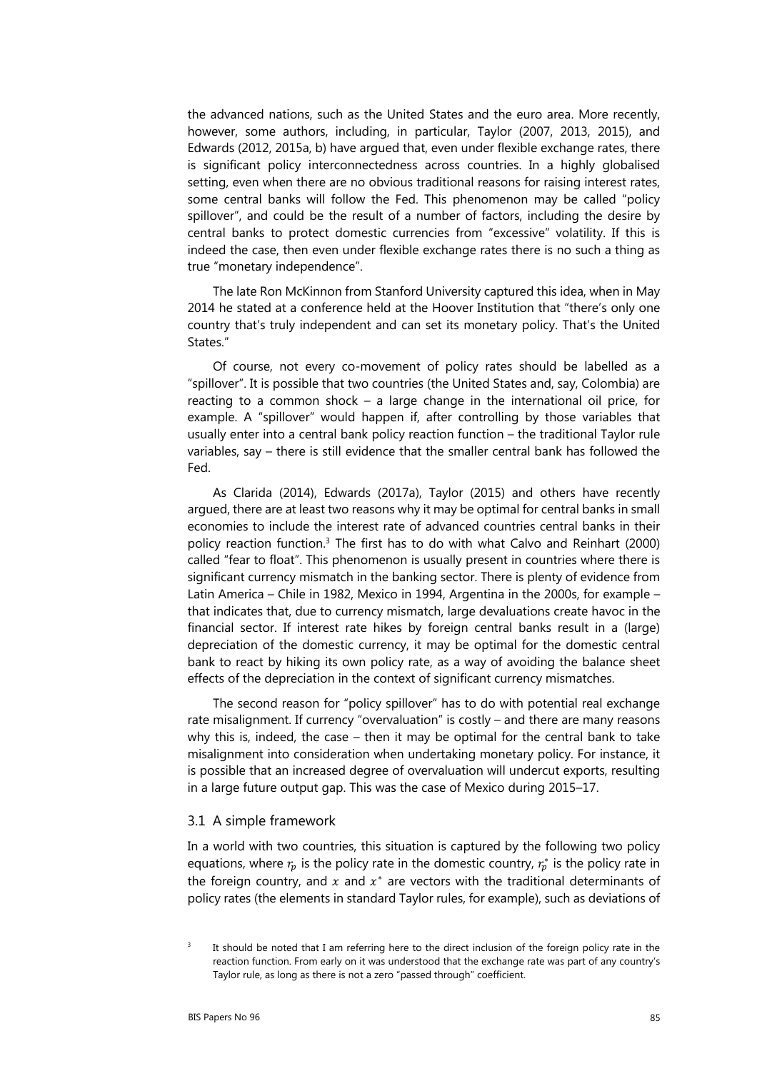the advanced nations, such as the United States and the euro area. More recently, however, some authors, including, in particular, Taylor (2007, 2013, 2015), and Edwards (2012, 2015a, b) have argued that, even under flexible exchange rates, there is significant policy interconnectedness across countries. In a highly globalised setting, even when there are no obvious traditional reasons for raising interest rates, some central banks will follow the Fed. This phenomenon may be called "policy spillover", and could be the result of a number of factors, including the desire by central banks to protect domestic currencies from "excessive" volatility. If this is indeed the case, then even under flexible exchange rates there is no such a thing as true "monetary independence".

The late Ron McKinnon from Stanford University captured this idea, when in May 2014 he stated at a conference held at the Hoover Institution that "there's only one country that's truly independent and can set its monetary policy. That's the United States."

Of course, not every co-movement of policy rates should be labelled as a "spillover". It is possible that two countries (the United States and, say, Colombia) are reacting to a common shock – a large change in the international oil price, for example. A "spillover" would happen if, after controlling by those variables that usually enter into a central bank policy reaction function – the traditional Taylor rule variables, say – there is still evidence that the smaller central bank has followed the Fed.

As Clarida (2014), Edwards (2017a), Taylor (2015) and others have recently argued, there are at least two reasons why it may be optimal for central banks in small economies to include the interest rate of advanced countries central banks in their policy reaction function.3 The first has to do with what Calvo and Reinhart (2000) called "fear to float". This phenomenon is usually present in countries where there is significant currency mismatch in the banking sector. There is plenty of evidence from Latin America – Chile in 1982, Mexico in 1994, Argentina in the 2000s, for example – that indicates that, due to currency mismatch, large devaluations create havoc in the financial sector. If interest rate hikes by foreign central banks result in a (large) depreciation of the domestic currency, it may be optimal for the domestic central bank to react by hiking its own policy rate, as a way of avoiding the balance sheet effects of the depreciation in the context of significant currency mismatches.

The second reason for "policy spillover" has to do with potential real exchange rate misalignment. If currency "overvaluation" is costly – and there are many reasons why this is, indeed, the case – then it may be optimal for the central bank to take misalignment into consideration when undertaking monetary policy. For instance, it is possible that an increased degree of overvaluation will undercut exports, resulting in a large future output gap. This was the case of Mexico during 2015–17.

#### 3.1 A simple framework

In a world with two countries, this situation is captured by the following two policy equations, where  $r_p$  is the policy rate in the domestic country,  $r_p^*$  is the policy rate in the foreign country, and  $x$  and  $x^*$  are vectors with the traditional determinants of policy rates (the elements in standard Taylor rules, for example), such as deviations of

<sup>3</sup> It should be noted that I am referring here to the direct inclusion of the foreign policy rate in the reaction function. From early on it was understood that the exchange rate was part of any country's Taylor rule, as long as there is not a zero "passed through" coefficient.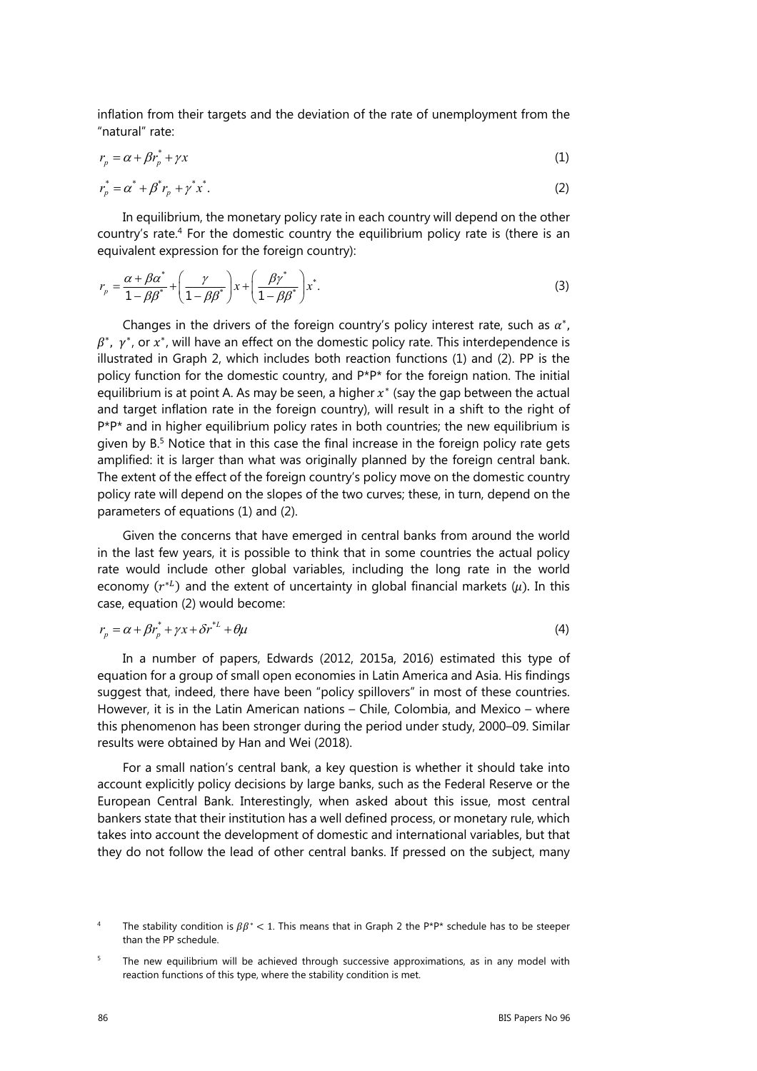inflation from their targets and the deviation of the rate of unemployment from the "natural" rate:

$$
r_p = \alpha + \beta r_p^* + \gamma x \tag{1}
$$

$$
r_p^* = \alpha^* + \beta^* r_p + \gamma^* x^*.
$$
 (2)

In equilibrium, the monetary policy rate in each country will depend on the other country's rate.4 For the domestic country the equilibrium policy rate is (there is an equivalent expression for the foreign country):

$$
r_p = \frac{\alpha + \beta \alpha^*}{1 - \beta \beta^*} + \left(\frac{\gamma}{1 - \beta \beta^*}\right) x + \left(\frac{\beta \gamma^*}{1 - \beta \beta^*}\right) x^*.
$$
 (3)

Changes in the drivers of the foreign country's policy interest rate, such as  $\alpha^*$ ,  $\beta^*$ ,  $\gamma^*$ , or  $x^*$ , will have an effect on the domestic policy rate. This interdependence is illustrated in Graph 2, which includes both reaction functions (1) and (2). PP is the policy function for the domestic country, and P\*P\* for the foreign nation. The initial equilibrium is at point A. As may be seen, a higher  $x^*$  (say the gap between the actual and target inflation rate in the foreign country), will result in a shift to the right of  $P^*P^*$  and in higher equilibrium policy rates in both countries; the new equilibrium is given by B.<sup>5</sup> Notice that in this case the final increase in the foreign policy rate gets amplified: it is larger than what was originally planned by the foreign central bank. The extent of the effect of the foreign country's policy move on the domestic country policy rate will depend on the slopes of the two curves; these, in turn, depend on the parameters of equations (1) and (2).

Given the concerns that have emerged in central banks from around the world in the last few years, it is possible to think that in some countries the actual policy rate would include other global variables, including the long rate in the world economy  $(r^{*L})$  and the extent of uncertainty in global financial markets  $(\mu)$ . In this case, equation (2) would become:

$$
r_p = \alpha + \beta r_p^* + \gamma x + \delta r^{*L} + \theta \mu \tag{4}
$$

In a number of papers, Edwards (2012, 2015a, 2016) estimated this type of equation for a group of small open economies in Latin America and Asia. His findings suggest that, indeed, there have been "policy spillovers" in most of these countries. However, it is in the Latin American nations – Chile, Colombia, and Mexico – where this phenomenon has been stronger during the period under study, 2000–09. Similar results were obtained by Han and Wei (2018).

For a small nation's central bank, a key question is whether it should take into account explicitly policy decisions by large banks, such as the Federal Reserve or the European Central Bank. Interestingly, when asked about this issue, most central bankers state that their institution has a well defined process, or monetary rule, which takes into account the development of domestic and international variables, but that they do not follow the lead of other central banks. If pressed on the subject, many

<sup>4</sup> The stability condition is  $\beta \beta^*$  < 1. This means that in Graph 2 the P\*P\* schedule has to be steeper than the PP schedule.

<sup>5</sup> The new equilibrium will be achieved through successive approximations, as in any model with reaction functions of this type, where the stability condition is met.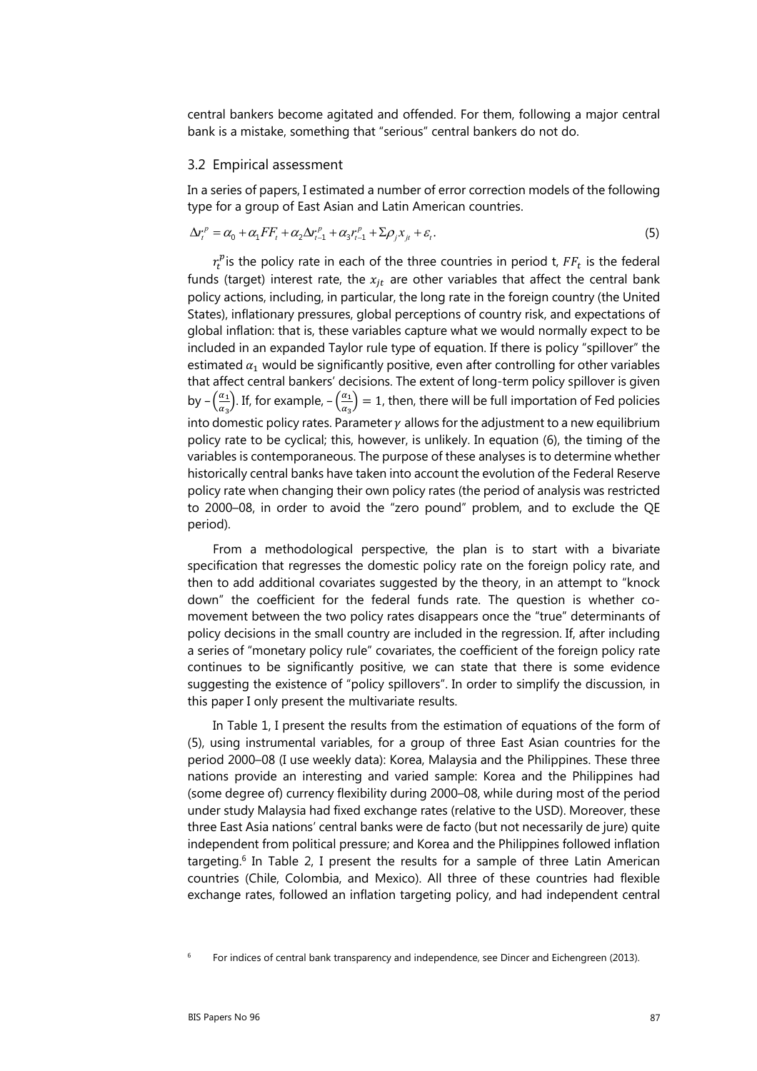central bankers become agitated and offended. For them, following a major central bank is a mistake, something that "serious" central bankers do not do.

#### 3.2 Empirical assessment

In a series of papers, I estimated a number of error correction models of the following type for a group of East Asian and Latin American countries.

$$
\Delta r_t^p = \alpha_0 + \alpha_1 FF_t + \alpha_2 \Delta r_{t-1}^p + \alpha_3 r_{t-1}^p + \Sigma \rho_j x_{jt} + \varepsilon_t.
$$
\n<sup>(5)</sup>

 $r_t^p$  is the policy rate in each of the three countries in period t,  $\mathit{FF}_t$  is the federal funds (target) interest rate, the  $x_{it}$  are other variables that affect the central bank policy actions, including, in particular, the long rate in the foreign country (the United States), inflationary pressures, global perceptions of country risk, and expectations of global inflation: that is, these variables capture what we would normally expect to be included in an expanded Taylor rule type of equation. If there is policy "spillover" the estimated  $\alpha_1$  would be significantly positive, even after controlling for other variables that affect central bankers' decisions. The extent of long-term policy spillover is given by  $-\left(\frac{\alpha_1}{\alpha_3}\right)$ . If, for example,  $-\left(\frac{\alpha_1}{\alpha_3}\right)=1$ , then, there will be full importation of Fed policies into domestic policy rates. Parameter  $\gamma$  allows for the adjustment to a new equilibrium policy rate to be cyclical; this, however, is unlikely. In equation (6), the timing of the variables is contemporaneous. The purpose of these analyses is to determine whether historically central banks have taken into account the evolution of the Federal Reserve policy rate when changing their own policy rates (the period of analysis was restricted to 2000–08, in order to avoid the "zero pound" problem, and to exclude the QE period).

From a methodological perspective, the plan is to start with a bivariate specification that regresses the domestic policy rate on the foreign policy rate, and then to add additional covariates suggested by the theory, in an attempt to "knock down" the coefficient for the federal funds rate. The question is whether comovement between the two policy rates disappears once the "true" determinants of policy decisions in the small country are included in the regression. If, after including a series of "monetary policy rule" covariates, the coefficient of the foreign policy rate continues to be significantly positive, we can state that there is some evidence suggesting the existence of "policy spillovers". In order to simplify the discussion, in this paper I only present the multivariate results.

In Table 1, I present the results from the estimation of equations of the form of (5), using instrumental variables, for a group of three East Asian countries for the period 2000–08 (I use weekly data): Korea, Malaysia and the Philippines. These three nations provide an interesting and varied sample: Korea and the Philippines had (some degree of) currency flexibility during 2000–08, while during most of the period under study Malaysia had fixed exchange rates (relative to the USD). Moreover, these three East Asia nations' central banks were de facto (but not necessarily de jure) quite independent from political pressure; and Korea and the Philippines followed inflation targeting. $6$  In Table 2, I present the results for a sample of three Latin American countries (Chile, Colombia, and Mexico). All three of these countries had flexible exchange rates, followed an inflation targeting policy, and had independent central

<sup>6</sup> For indices of central bank transparency and independence, see Dincer and Eichengreen (2013).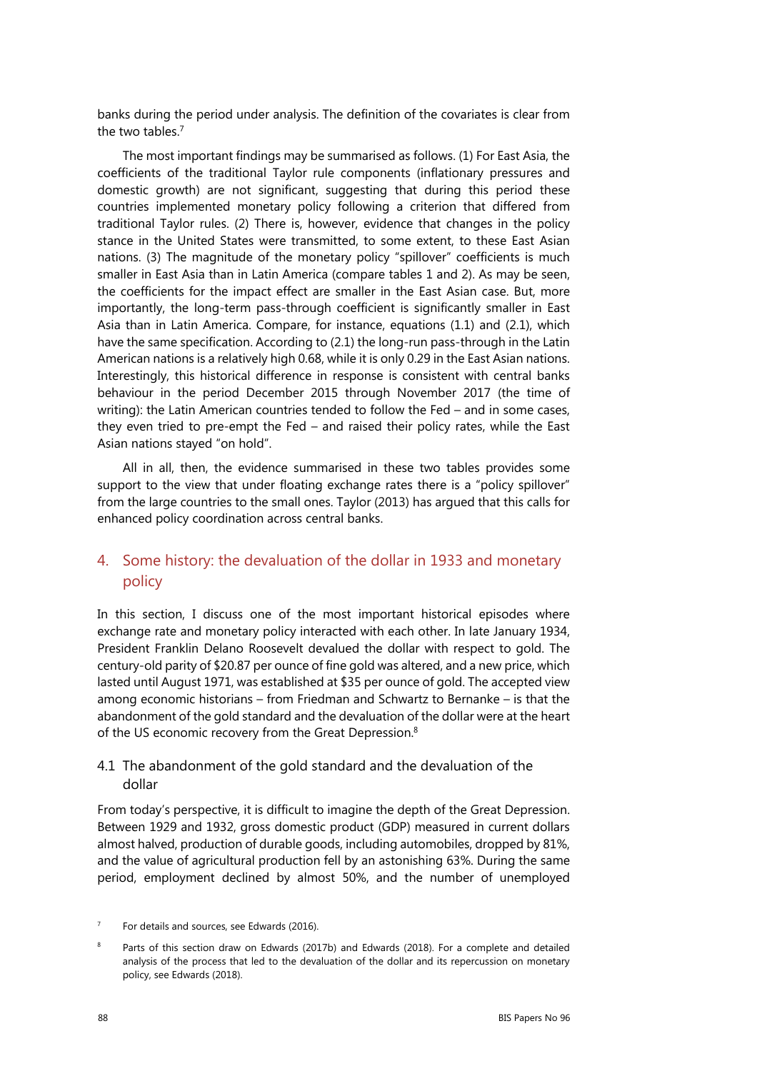banks during the period under analysis. The definition of the covariates is clear from the two tables.7

The most important findings may be summarised as follows. (1) For East Asia, the coefficients of the traditional Taylor rule components (inflationary pressures and domestic growth) are not significant, suggesting that during this period these countries implemented monetary policy following a criterion that differed from traditional Taylor rules. (2) There is, however, evidence that changes in the policy stance in the United States were transmitted, to some extent, to these East Asian nations. (3) The magnitude of the monetary policy "spillover" coefficients is much smaller in East Asia than in Latin America (compare tables 1 and 2). As may be seen, the coefficients for the impact effect are smaller in the East Asian case. But, more importantly, the long-term pass-through coefficient is significantly smaller in East Asia than in Latin America. Compare, for instance, equations (1.1) and (2.1), which have the same specification. According to (2.1) the long-run pass-through in the Latin American nations is a relatively high 0.68, while it is only 0.29 in the East Asian nations. Interestingly, this historical difference in response is consistent with central banks behaviour in the period December 2015 through November 2017 (the time of writing): the Latin American countries tended to follow the Fed – and in some cases, they even tried to pre-empt the Fed – and raised their policy rates, while the East Asian nations stayed "on hold".

All in all, then, the evidence summarised in these two tables provides some support to the view that under floating exchange rates there is a "policy spillover" from the large countries to the small ones. Taylor (2013) has argued that this calls for enhanced policy coordination across central banks.

## 4. Some history: the devaluation of the dollar in 1933 and monetary policy

In this section, I discuss one of the most important historical episodes where exchange rate and monetary policy interacted with each other. In late January 1934, President Franklin Delano Roosevelt devalued the dollar with respect to gold. The century-old parity of \$20.87 per ounce of fine gold was altered, and a new price, which lasted until August 1971, was established at \$35 per ounce of gold. The accepted view among economic historians – from Friedman and Schwartz to Bernanke – is that the abandonment of the gold standard and the devaluation of the dollar were at the heart of the US economic recovery from the Great Depression.<sup>8</sup>

## 4.1 The abandonment of the gold standard and the devaluation of the dollar

From today's perspective, it is difficult to imagine the depth of the Great Depression. Between 1929 and 1932, gross domestic product (GDP) measured in current dollars almost halved, production of durable goods, including automobiles, dropped by 81%, and the value of agricultural production fell by an astonishing 63%. During the same period, employment declined by almost 50%, and the number of unemployed

<sup>7</sup> For details and sources, see Edwards (2016).

 $\circ$  Parts of this section draw on Edwards (2017b) and Edwards (2018). For a complete and detailed analysis of the process that led to the devaluation of the dollar and its repercussion on monetary policy, see Edwards (2018).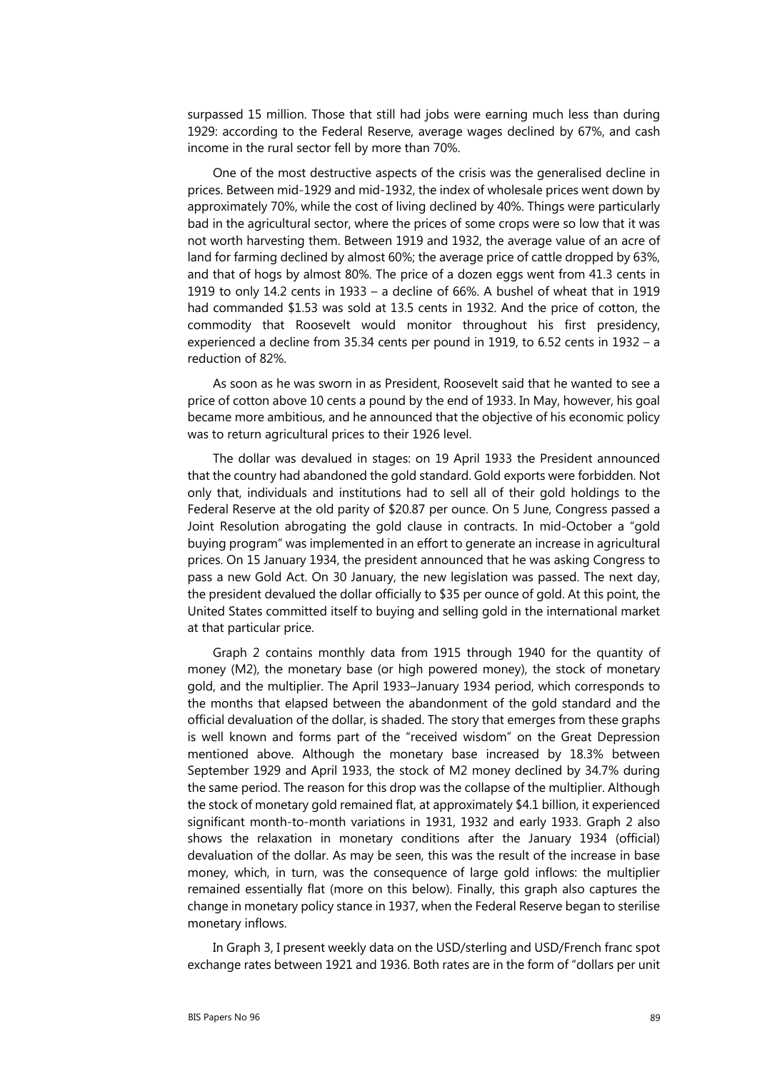surpassed 15 million. Those that still had jobs were earning much less than during 1929: according to the Federal Reserve, average wages declined by 67%, and cash income in the rural sector fell by more than 70%.

One of the most destructive aspects of the crisis was the generalised decline in prices. Between mid-1929 and mid-1932, the index of wholesale prices went down by approximately 70%, while the cost of living declined by 40%. Things were particularly bad in the agricultural sector, where the prices of some crops were so low that it was not worth harvesting them. Between 1919 and 1932, the average value of an acre of land for farming declined by almost 60%; the average price of cattle dropped by 63%, and that of hogs by almost 80%. The price of a dozen eggs went from 41.3 cents in 1919 to only 14.2 cents in 1933 – a decline of 66%. A bushel of wheat that in 1919 had commanded \$1.53 was sold at 13.5 cents in 1932. And the price of cotton, the commodity that Roosevelt would monitor throughout his first presidency, experienced a decline from 35.34 cents per pound in 1919, to 6.52 cents in 1932 – a reduction of 82%.

As soon as he was sworn in as President, Roosevelt said that he wanted to see a price of cotton above 10 cents a pound by the end of 1933. In May, however, his goal became more ambitious, and he announced that the objective of his economic policy was to return agricultural prices to their 1926 level.

The dollar was devalued in stages: on 19 April 1933 the President announced that the country had abandoned the gold standard. Gold exports were forbidden. Not only that, individuals and institutions had to sell all of their gold holdings to the Federal Reserve at the old parity of \$20.87 per ounce. On 5 June, Congress passed a Joint Resolution abrogating the gold clause in contracts. In mid-October a "gold buying program" was implemented in an effort to generate an increase in agricultural prices. On 15 January 1934, the president announced that he was asking Congress to pass a new Gold Act. On 30 January, the new legislation was passed. The next day, the president devalued the dollar officially to \$35 per ounce of gold. At this point, the United States committed itself to buying and selling gold in the international market at that particular price.

Graph 2 contains monthly data from 1915 through 1940 for the quantity of money (M2), the monetary base (or high powered money), the stock of monetary gold, and the multiplier. The April 1933–January 1934 period, which corresponds to the months that elapsed between the abandonment of the gold standard and the official devaluation of the dollar, is shaded. The story that emerges from these graphs is well known and forms part of the "received wisdom" on the Great Depression mentioned above. Although the monetary base increased by 18.3% between September 1929 and April 1933, the stock of M2 money declined by 34.7% during the same period. The reason for this drop was the collapse of the multiplier. Although the stock of monetary gold remained flat, at approximately \$4.1 billion, it experienced significant month-to-month variations in 1931, 1932 and early 1933. Graph 2 also shows the relaxation in monetary conditions after the January 1934 (official) devaluation of the dollar. As may be seen, this was the result of the increase in base money, which, in turn, was the consequence of large gold inflows: the multiplier remained essentially flat (more on this below). Finally, this graph also captures the change in monetary policy stance in 1937, when the Federal Reserve began to sterilise monetary inflows.

In Graph 3, I present weekly data on the USD/sterling and USD/French franc spot exchange rates between 1921 and 1936. Both rates are in the form of "dollars per unit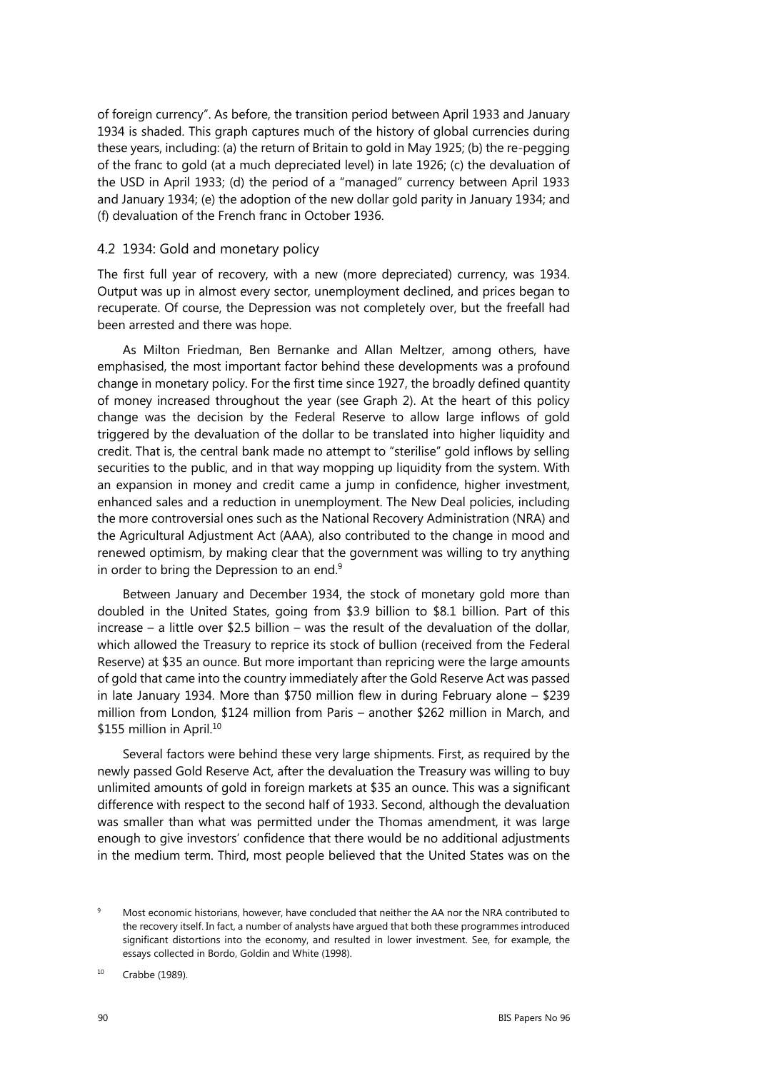of foreign currency". As before, the transition period between April 1933 and January 1934 is shaded. This graph captures much of the history of global currencies during these years, including: (a) the return of Britain to gold in May 1925; (b) the re-pegging of the franc to gold (at a much depreciated level) in late 1926; (c) the devaluation of the USD in April 1933; (d) the period of a "managed" currency between April 1933 and January 1934; (e) the adoption of the new dollar gold parity in January 1934; and (f) devaluation of the French franc in October 1936.

#### 4.2 1934: Gold and monetary policy

The first full year of recovery, with a new (more depreciated) currency, was 1934. Output was up in almost every sector, unemployment declined, and prices began to recuperate. Of course, the Depression was not completely over, but the freefall had been arrested and there was hope.

As Milton Friedman, Ben Bernanke and Allan Meltzer, among others, have emphasised, the most important factor behind these developments was a profound change in monetary policy. For the first time since 1927, the broadly defined quantity of money increased throughout the year (see Graph 2). At the heart of this policy change was the decision by the Federal Reserve to allow large inflows of gold triggered by the devaluation of the dollar to be translated into higher liquidity and credit. That is, the central bank made no attempt to "sterilise" gold inflows by selling securities to the public, and in that way mopping up liquidity from the system. With an expansion in money and credit came a jump in confidence, higher investment, enhanced sales and a reduction in unemployment. The New Deal policies, including the more controversial ones such as the National Recovery Administration (NRA) and the Agricultural Adjustment Act (AAA), also contributed to the change in mood and renewed optimism, by making clear that the government was willing to try anything in order to bring the Depression to an end.<sup>9</sup>

Between January and December 1934, the stock of monetary gold more than doubled in the United States, going from \$3.9 billion to \$8.1 billion. Part of this increase – a little over \$2.5 billion – was the result of the devaluation of the dollar, which allowed the Treasury to reprice its stock of bullion (received from the Federal Reserve) at \$35 an ounce. But more important than repricing were the large amounts of gold that came into the country immediately after the Gold Reserve Act was passed in late January 1934. More than \$750 million flew in during February alone – \$239 million from London, \$124 million from Paris – another \$262 million in March, and \$155 million in April.<sup>10</sup>

Several factors were behind these very large shipments. First, as required by the newly passed Gold Reserve Act, after the devaluation the Treasury was willing to buy unlimited amounts of gold in foreign markets at \$35 an ounce. This was a significant difference with respect to the second half of 1933. Second, although the devaluation was smaller than what was permitted under the Thomas amendment, it was large enough to give investors' confidence that there would be no additional adjustments in the medium term. Third, most people believed that the United States was on the

<sup>9</sup> Most economic historians, however, have concluded that neither the AA nor the NRA contributed to the recovery itself. In fact, a number of analysts have argued that both these programmes introduced significant distortions into the economy, and resulted in lower investment. See, for example, the essays collected in Bordo, Goldin and White (1998).

<sup>10</sup> Crabbe (1989).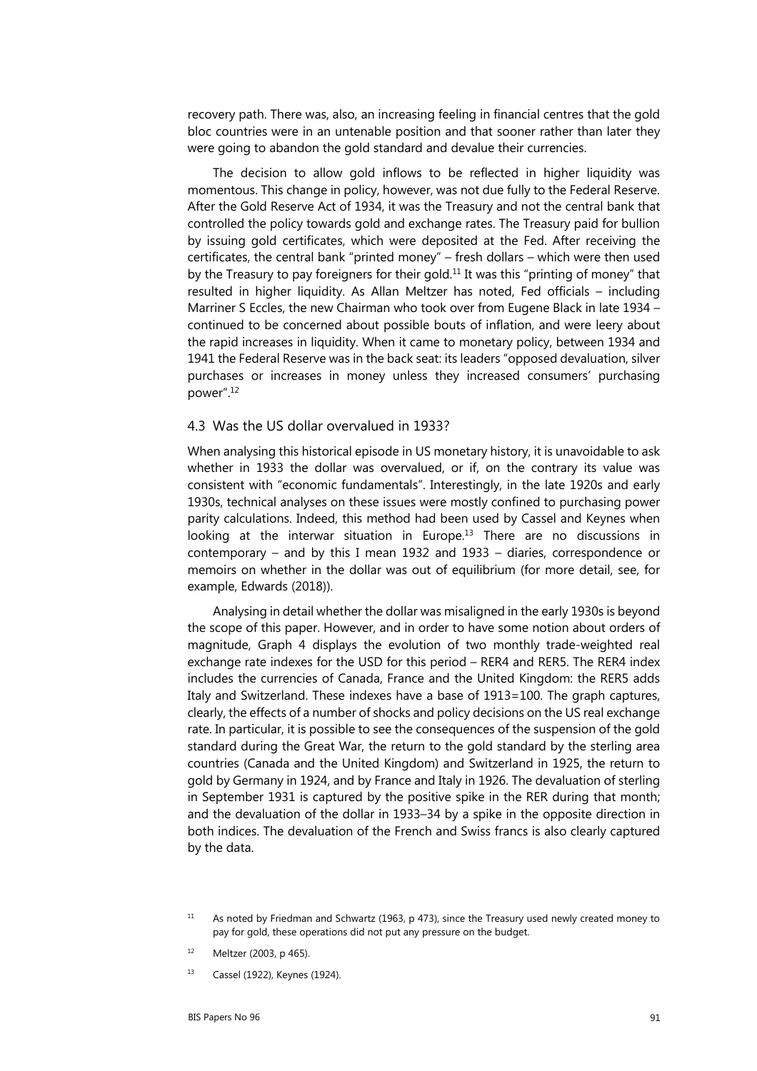recovery path. There was, also, an increasing feeling in financial centres that the gold bloc countries were in an untenable position and that sooner rather than later they were going to abandon the gold standard and devalue their currencies.

The decision to allow gold inflows to be reflected in higher liquidity was momentous. This change in policy, however, was not due fully to the Federal Reserve. After the Gold Reserve Act of 1934, it was the Treasury and not the central bank that controlled the policy towards gold and exchange rates. The Treasury paid for bullion by issuing gold certificates, which were deposited at the Fed. After receiving the certificates, the central bank "printed money" – fresh dollars – which were then used by the Treasury to pay foreigners for their gold.<sup>11</sup> It was this "printing of money" that resulted in higher liquidity. As Allan Meltzer has noted, Fed officials – including Marriner S Eccles, the new Chairman who took over from Eugene Black in late 1934 – continued to be concerned about possible bouts of inflation, and were leery about the rapid increases in liquidity. When it came to monetary policy, between 1934 and 1941 the Federal Reserve was in the back seat: its leaders "opposed devaluation, silver purchases or increases in money unless they increased consumers' purchasing power".12

#### 4.3 Was the US dollar overvalued in 1933?

When analysing this historical episode in US monetary history, it is unavoidable to ask whether in 1933 the dollar was overvalued, or if, on the contrary its value was consistent with "economic fundamentals". Interestingly, in the late 1920s and early 1930s, technical analyses on these issues were mostly confined to purchasing power parity calculations. Indeed, this method had been used by Cassel and Keynes when looking at the interwar situation in Europe.<sup>13</sup> There are no discussions in contemporary – and by this I mean 1932 and 1933 – diaries, correspondence or memoirs on whether in the dollar was out of equilibrium (for more detail, see, for example, Edwards (2018)).

Analysing in detail whether the dollar was misaligned in the early 1930s is beyond the scope of this paper. However, and in order to have some notion about orders of magnitude, Graph 4 displays the evolution of two monthly trade-weighted real exchange rate indexes for the USD for this period – RER4 and RER5. The RER4 index includes the currencies of Canada, France and the United Kingdom: the RER5 adds Italy and Switzerland. These indexes have a base of 1913=100. The graph captures, clearly, the effects of a number of shocks and policy decisions on the US real exchange rate. In particular, it is possible to see the consequences of the suspension of the gold standard during the Great War, the return to the gold standard by the sterling area countries (Canada and the United Kingdom) and Switzerland in 1925, the return to gold by Germany in 1924, and by France and Italy in 1926. The devaluation of sterling in September 1931 is captured by the positive spike in the RER during that month; and the devaluation of the dollar in 1933–34 by a spike in the opposite direction in both indices. The devaluation of the French and Swiss francs is also clearly captured by the data.

- 12 Meltzer (2003, p 465).
- 13 Cassel (1922), Keynes (1924).

<sup>&</sup>lt;sup>11</sup> As noted by Friedman and Schwartz (1963, p 473), since the Treasury used newly created money to pay for gold, these operations did not put any pressure on the budget.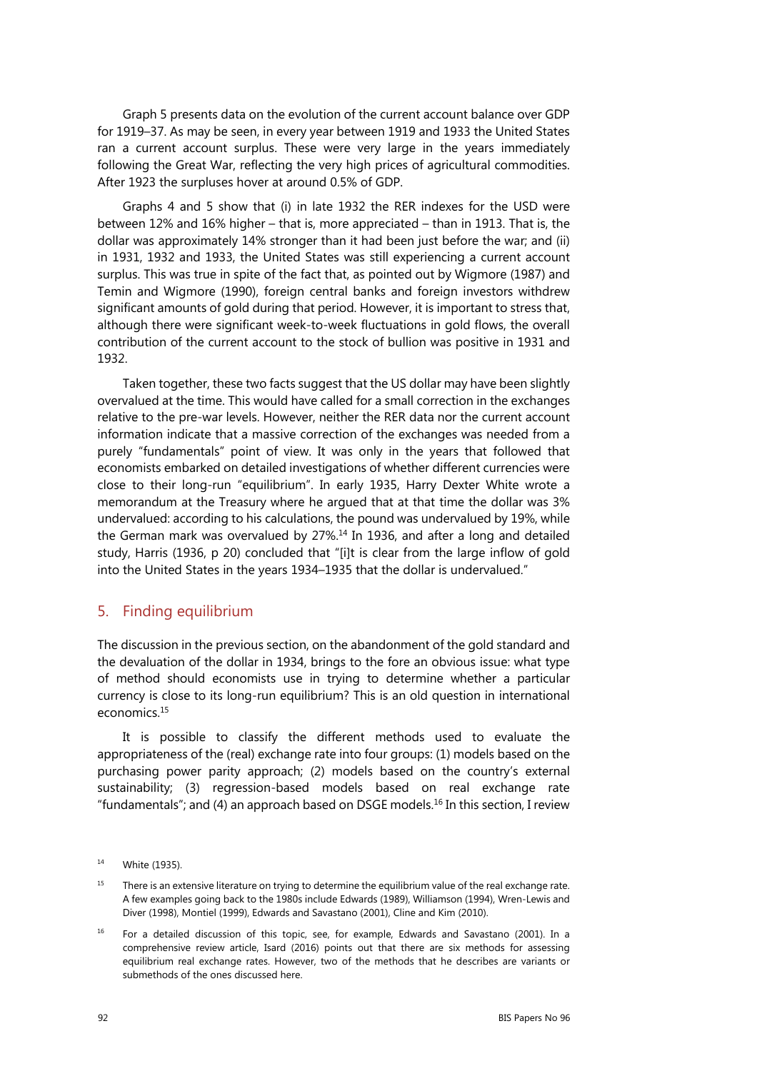Graph 5 presents data on the evolution of the current account balance over GDP for 1919–37. As may be seen, in every year between 1919 and 1933 the United States ran a current account surplus. These were very large in the years immediately following the Great War, reflecting the very high prices of agricultural commodities. After 1923 the surpluses hover at around 0.5% of GDP.

Graphs 4 and 5 show that (i) in late 1932 the RER indexes for the USD were between 12% and 16% higher – that is, more appreciated – than in 1913. That is, the dollar was approximately 14% stronger than it had been just before the war; and (ii) in 1931, 1932 and 1933, the United States was still experiencing a current account surplus. This was true in spite of the fact that, as pointed out by Wigmore (1987) and Temin and Wigmore (1990), foreign central banks and foreign investors withdrew significant amounts of gold during that period. However, it is important to stress that, although there were significant week-to-week fluctuations in gold flows, the overall contribution of the current account to the stock of bullion was positive in 1931 and 1932.

Taken together, these two facts suggest that the US dollar may have been slightly overvalued at the time. This would have called for a small correction in the exchanges relative to the pre-war levels. However, neither the RER data nor the current account information indicate that a massive correction of the exchanges was needed from a purely "fundamentals" point of view. It was only in the years that followed that economists embarked on detailed investigations of whether different currencies were close to their long-run "equilibrium". In early 1935, Harry Dexter White wrote a memorandum at the Treasury where he argued that at that time the dollar was 3% undervalued: according to his calculations, the pound was undervalued by 19%, while the German mark was overvalued by 27%.<sup>14</sup> In 1936, and after a long and detailed study, Harris (1936, p 20) concluded that "[i]t is clear from the large inflow of gold into the United States in the years 1934–1935 that the dollar is undervalued."

### 5. Finding equilibrium

The discussion in the previous section, on the abandonment of the gold standard and the devaluation of the dollar in 1934, brings to the fore an obvious issue: what type of method should economists use in trying to determine whether a particular currency is close to its long-run equilibrium? This is an old question in international economics.15

It is possible to classify the different methods used to evaluate the appropriateness of the (real) exchange rate into four groups: (1) models based on the purchasing power parity approach; (2) models based on the country's external sustainability; (3) regression-based models based on real exchange rate "fundamentals"; and (4) an approach based on DSGE models.<sup>16</sup> In this section, I review

<sup>15</sup> There is an extensive literature on trying to determine the equilibrium value of the real exchange rate. A few examples going back to the 1980s include Edwards (1989), Williamson (1994), Wren-Lewis and Diver (1998), Montiel (1999), Edwards and Savastano (2001), Cline and Kim (2010).

<sup>16</sup> For a detailed discussion of this topic, see, for example, Edwards and Savastano (2001). In a comprehensive review article, Isard (2016) points out that there are six methods for assessing equilibrium real exchange rates. However, two of the methods that he describes are variants or submethods of the ones discussed here.

<sup>14</sup> White (1935).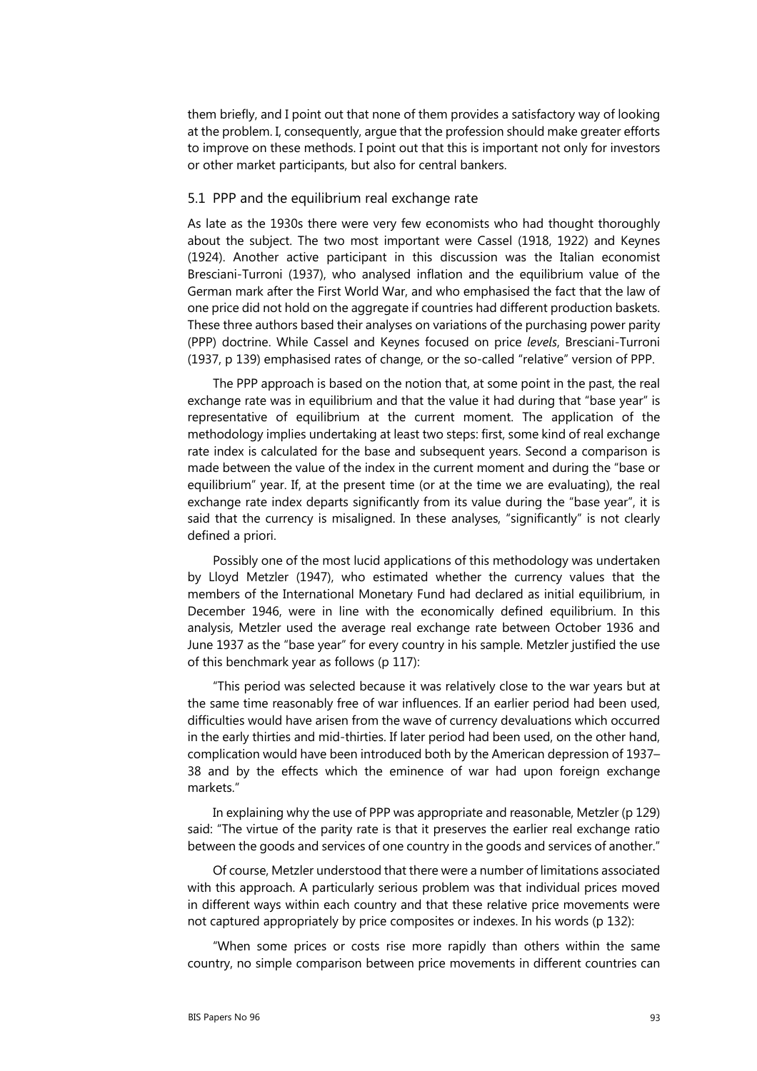them briefly, and I point out that none of them provides a satisfactory way of looking at the problem. I, consequently, argue that the profession should make greater efforts to improve on these methods. I point out that this is important not only for investors or other market participants, but also for central bankers.

#### 5.1 PPP and the equilibrium real exchange rate

As late as the 1930s there were very few economists who had thought thoroughly about the subject. The two most important were Cassel (1918, 1922) and Keynes (1924). Another active participant in this discussion was the Italian economist Bresciani-Turroni (1937), who analysed inflation and the equilibrium value of the German mark after the First World War, and who emphasised the fact that the law of one price did not hold on the aggregate if countries had different production baskets. These three authors based their analyses on variations of the purchasing power parity (PPP) doctrine. While Cassel and Keynes focused on price *levels*, Bresciani-Turroni (1937, p 139) emphasised rates of change, or the so-called "relative" version of PPP.

The PPP approach is based on the notion that, at some point in the past, the real exchange rate was in equilibrium and that the value it had during that "base year" is representative of equilibrium at the current moment. The application of the methodology implies undertaking at least two steps: first, some kind of real exchange rate index is calculated for the base and subsequent years. Second a comparison is made between the value of the index in the current moment and during the "base or equilibrium" year. If, at the present time (or at the time we are evaluating), the real exchange rate index departs significantly from its value during the "base year", it is said that the currency is misaligned. In these analyses, "significantly" is not clearly defined a priori.

Possibly one of the most lucid applications of this methodology was undertaken by Lloyd Metzler (1947), who estimated whether the currency values that the members of the International Monetary Fund had declared as initial equilibrium, in December 1946, were in line with the economically defined equilibrium. In this analysis, Metzler used the average real exchange rate between October 1936 and June 1937 as the "base year" for every country in his sample. Metzler justified the use of this benchmark year as follows (p 117):

"This period was selected because it was relatively close to the war years but at the same time reasonably free of war influences. If an earlier period had been used, difficulties would have arisen from the wave of currency devaluations which occurred in the early thirties and mid-thirties. If later period had been used, on the other hand, complication would have been introduced both by the American depression of 1937– 38 and by the effects which the eminence of war had upon foreign exchange markets."

In explaining why the use of PPP was appropriate and reasonable, Metzler (p 129) said: "The virtue of the parity rate is that it preserves the earlier real exchange ratio between the goods and services of one country in the goods and services of another."

Of course, Metzler understood that there were a number of limitations associated with this approach. A particularly serious problem was that individual prices moved in different ways within each country and that these relative price movements were not captured appropriately by price composites or indexes. In his words (p 132):

"When some prices or costs rise more rapidly than others within the same country, no simple comparison between price movements in different countries can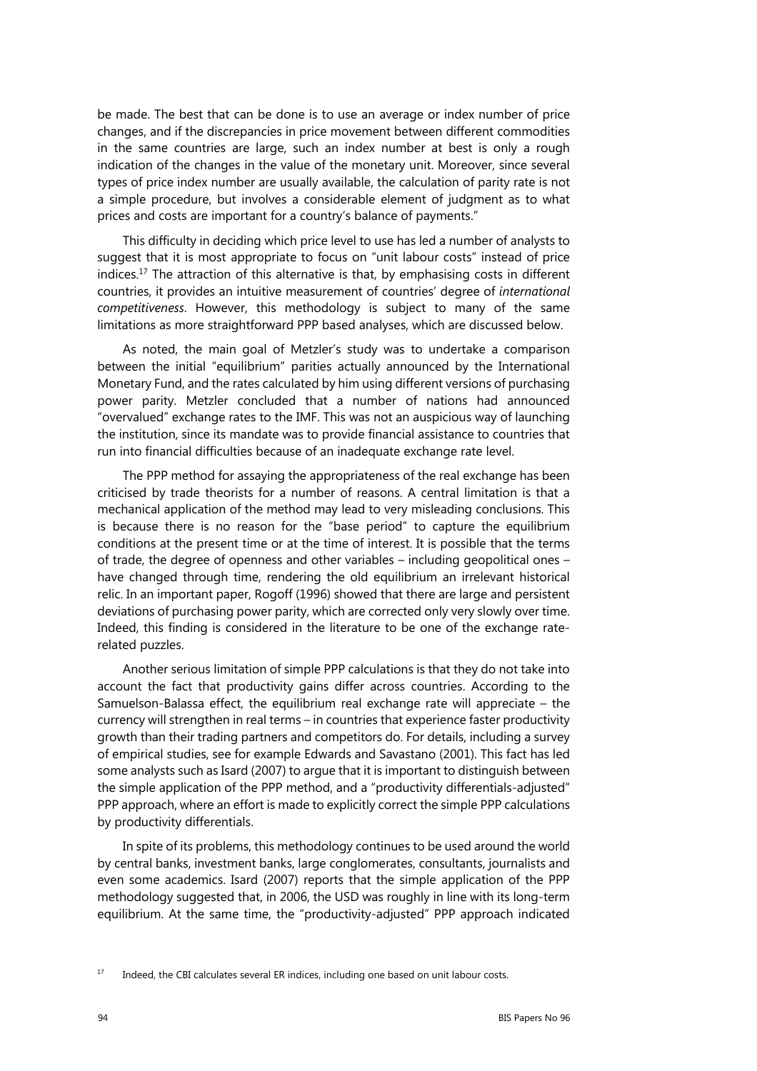be made. The best that can be done is to use an average or index number of price changes, and if the discrepancies in price movement between different commodities in the same countries are large, such an index number at best is only a rough indication of the changes in the value of the monetary unit. Moreover, since several types of price index number are usually available, the calculation of parity rate is not a simple procedure, but involves a considerable element of judgment as to what prices and costs are important for a country's balance of payments."

This difficulty in deciding which price level to use has led a number of analysts to suggest that it is most appropriate to focus on "unit labour costs" instead of price indices.<sup>17</sup> The attraction of this alternative is that, by emphasising costs in different countries, it provides an intuitive measurement of countries' degree of *international competitiveness*. However, this methodology is subject to many of the same limitations as more straightforward PPP based analyses, which are discussed below.

As noted, the main goal of Metzler's study was to undertake a comparison between the initial "equilibrium" parities actually announced by the International Monetary Fund, and the rates calculated by him using different versions of purchasing power parity. Metzler concluded that a number of nations had announced "overvalued" exchange rates to the IMF. This was not an auspicious way of launching the institution, since its mandate was to provide financial assistance to countries that run into financial difficulties because of an inadequate exchange rate level.

The PPP method for assaying the appropriateness of the real exchange has been criticised by trade theorists for a number of reasons. A central limitation is that a mechanical application of the method may lead to very misleading conclusions. This is because there is no reason for the "base period" to capture the equilibrium conditions at the present time or at the time of interest. It is possible that the terms of trade, the degree of openness and other variables – including geopolitical ones – have changed through time, rendering the old equilibrium an irrelevant historical relic. In an important paper, Rogoff (1996) showed that there are large and persistent deviations of purchasing power parity, which are corrected only very slowly over time. Indeed, this finding is considered in the literature to be one of the exchange raterelated puzzles.

Another serious limitation of simple PPP calculations is that they do not take into account the fact that productivity gains differ across countries. According to the Samuelson-Balassa effect, the equilibrium real exchange rate will appreciate – the currency will strengthen in real terms – in countries that experience faster productivity growth than their trading partners and competitors do. For details, including a survey of empirical studies, see for example Edwards and Savastano (2001). This fact has led some analysts such as Isard (2007) to argue that it is important to distinguish between the simple application of the PPP method, and a "productivity differentials-adjusted" PPP approach, where an effort is made to explicitly correct the simple PPP calculations by productivity differentials.

In spite of its problems, this methodology continues to be used around the world by central banks, investment banks, large conglomerates, consultants, journalists and even some academics. Isard (2007) reports that the simple application of the PPP methodology suggested that, in 2006, the USD was roughly in line with its long-term equilibrium. At the same time, the "productivity-adjusted" PPP approach indicated

<sup>&</sup>lt;sup>17</sup> Indeed, the CBI calculates several ER indices, including one based on unit labour costs.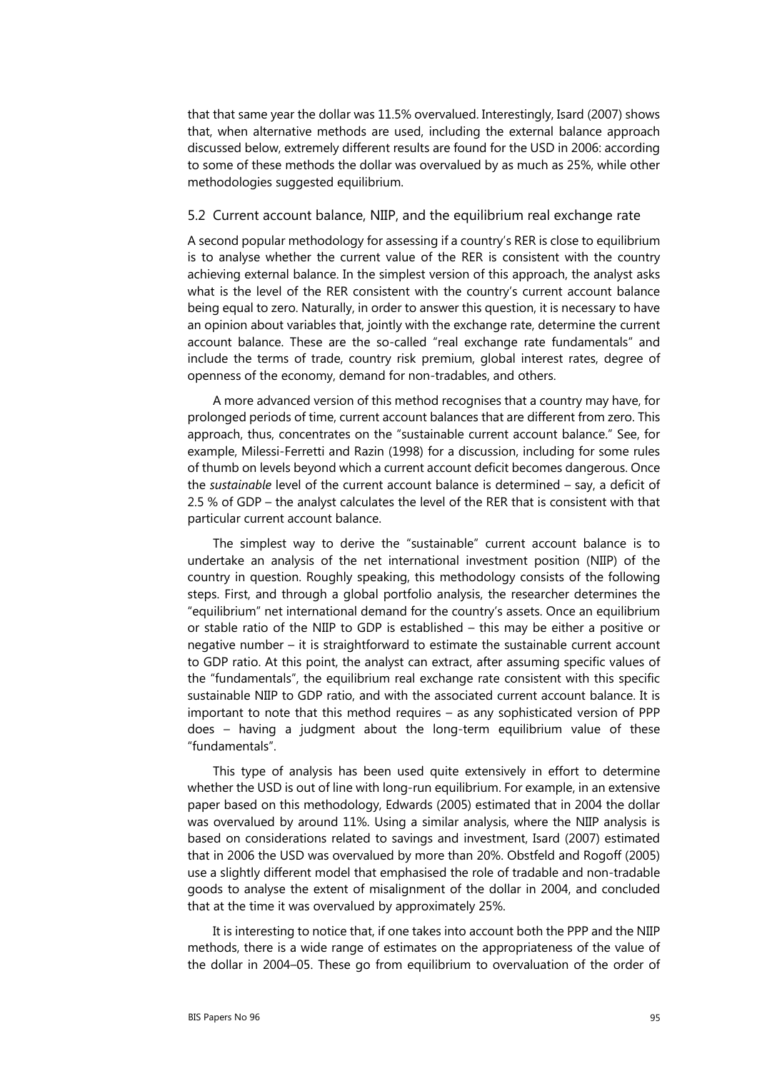that that same year the dollar was 11.5% overvalued. Interestingly, Isard (2007) shows that, when alternative methods are used, including the external balance approach discussed below, extremely different results are found for the USD in 2006: according to some of these methods the dollar was overvalued by as much as 25%, while other methodologies suggested equilibrium.

#### 5.2 Current account balance, NIIP, and the equilibrium real exchange rate

A second popular methodology for assessing if a country's RER is close to equilibrium is to analyse whether the current value of the RER is consistent with the country achieving external balance. In the simplest version of this approach, the analyst asks what is the level of the RER consistent with the country's current account balance being equal to zero. Naturally, in order to answer this question, it is necessary to have an opinion about variables that, jointly with the exchange rate, determine the current account balance. These are the so-called "real exchange rate fundamentals" and include the terms of trade, country risk premium, global interest rates, degree of openness of the economy, demand for non-tradables, and others.

A more advanced version of this method recognises that a country may have, for prolonged periods of time, current account balances that are different from zero. This approach, thus, concentrates on the "sustainable current account balance." See, for example, Milessi-Ferretti and Razin (1998) for a discussion, including for some rules of thumb on levels beyond which a current account deficit becomes dangerous. Once the *sustainable* level of the current account balance is determined – say, a deficit of 2.5 % of GDP – the analyst calculates the level of the RER that is consistent with that particular current account balance.

The simplest way to derive the "sustainable" current account balance is to undertake an analysis of the net international investment position (NIIP) of the country in question. Roughly speaking, this methodology consists of the following steps. First, and through a global portfolio analysis, the researcher determines the "equilibrium" net international demand for the country's assets. Once an equilibrium or stable ratio of the NIIP to GDP is established – this may be either a positive or negative number – it is straightforward to estimate the sustainable current account to GDP ratio. At this point, the analyst can extract, after assuming specific values of the "fundamentals", the equilibrium real exchange rate consistent with this specific sustainable NIIP to GDP ratio, and with the associated current account balance. It is important to note that this method requires – as any sophisticated version of PPP does – having a judgment about the long-term equilibrium value of these "fundamentals".

This type of analysis has been used quite extensively in effort to determine whether the USD is out of line with long-run equilibrium. For example, in an extensive paper based on this methodology, Edwards (2005) estimated that in 2004 the dollar was overvalued by around 11%. Using a similar analysis, where the NIIP analysis is based on considerations related to savings and investment, Isard (2007) estimated that in 2006 the USD was overvalued by more than 20%. Obstfeld and Rogoff (2005) use a slightly different model that emphasised the role of tradable and non-tradable goods to analyse the extent of misalignment of the dollar in 2004, and concluded that at the time it was overvalued by approximately 25%.

It is interesting to notice that, if one takes into account both the PPP and the NIIP methods, there is a wide range of estimates on the appropriateness of the value of the dollar in 2004–05. These go from equilibrium to overvaluation of the order of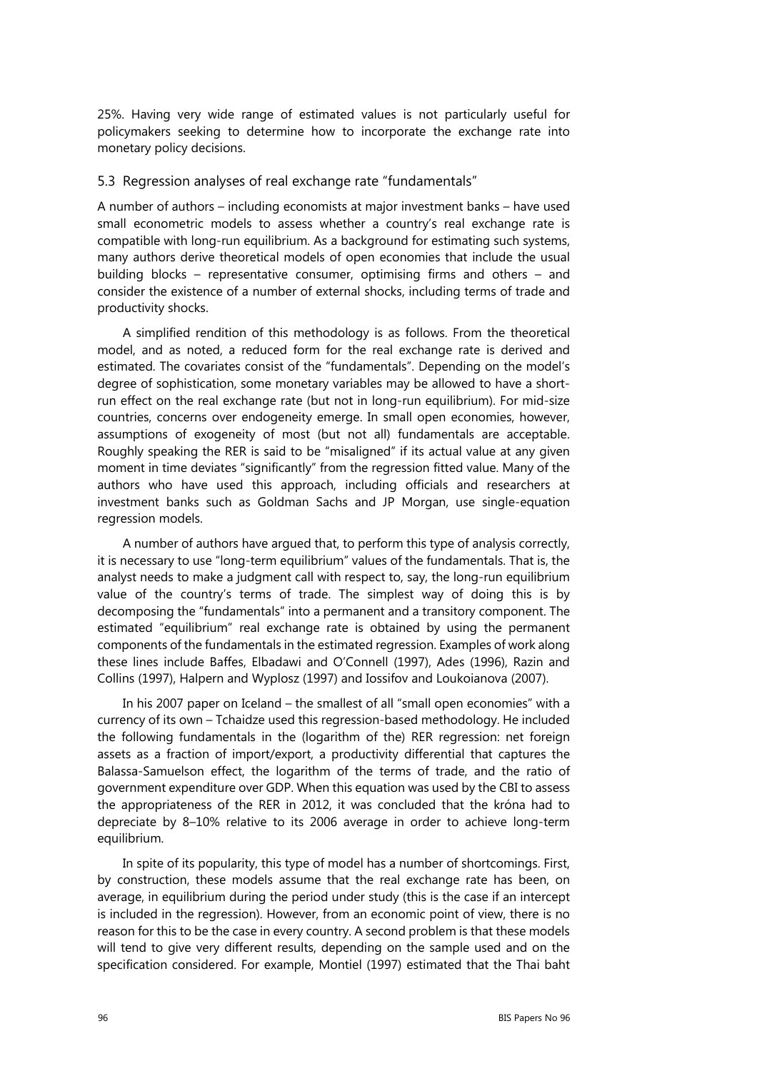25%. Having very wide range of estimated values is not particularly useful for policymakers seeking to determine how to incorporate the exchange rate into monetary policy decisions.

#### 5.3 Regression analyses of real exchange rate "fundamentals"

A number of authors – including economists at major investment banks – have used small econometric models to assess whether a country's real exchange rate is compatible with long-run equilibrium. As a background for estimating such systems, many authors derive theoretical models of open economies that include the usual building blocks – representative consumer, optimising firms and others – and consider the existence of a number of external shocks, including terms of trade and productivity shocks.

A simplified rendition of this methodology is as follows. From the theoretical model, and as noted, a reduced form for the real exchange rate is derived and estimated. The covariates consist of the "fundamentals". Depending on the model's degree of sophistication, some monetary variables may be allowed to have a shortrun effect on the real exchange rate (but not in long-run equilibrium). For mid-size countries, concerns over endogeneity emerge. In small open economies, however, assumptions of exogeneity of most (but not all) fundamentals are acceptable. Roughly speaking the RER is said to be "misaligned" if its actual value at any given moment in time deviates "significantly" from the regression fitted value. Many of the authors who have used this approach, including officials and researchers at investment banks such as Goldman Sachs and JP Morgan, use single-equation regression models.

A number of authors have argued that, to perform this type of analysis correctly, it is necessary to use "long-term equilibrium" values of the fundamentals. That is, the analyst needs to make a judgment call with respect to, say, the long-run equilibrium value of the country's terms of trade. The simplest way of doing this is by decomposing the "fundamentals" into a permanent and a transitory component. The estimated "equilibrium" real exchange rate is obtained by using the permanent components of the fundamentals in the estimated regression. Examples of work along these lines include Baffes, Elbadawi and O'Connell (1997), Ades (1996), Razin and Collins (1997), Halpern and Wyplosz (1997) and Iossifov and Loukoianova (2007).

In his 2007 paper on Iceland – the smallest of all "small open economies" with a currency of its own – Tchaidze used this regression-based methodology. He included the following fundamentals in the (logarithm of the) RER regression: net foreign assets as a fraction of import/export, a productivity differential that captures the Balassa-Samuelson effect, the logarithm of the terms of trade, and the ratio of government expenditure over GDP. When this equation was used by the CBI to assess the appropriateness of the RER in 2012, it was concluded that the króna had to depreciate by 8–10% relative to its 2006 average in order to achieve long-term equilibrium.

In spite of its popularity, this type of model has a number of shortcomings. First, by construction, these models assume that the real exchange rate has been, on average, in equilibrium during the period under study (this is the case if an intercept is included in the regression). However, from an economic point of view, there is no reason for this to be the case in every country. A second problem is that these models will tend to give very different results, depending on the sample used and on the specification considered. For example, Montiel (1997) estimated that the Thai baht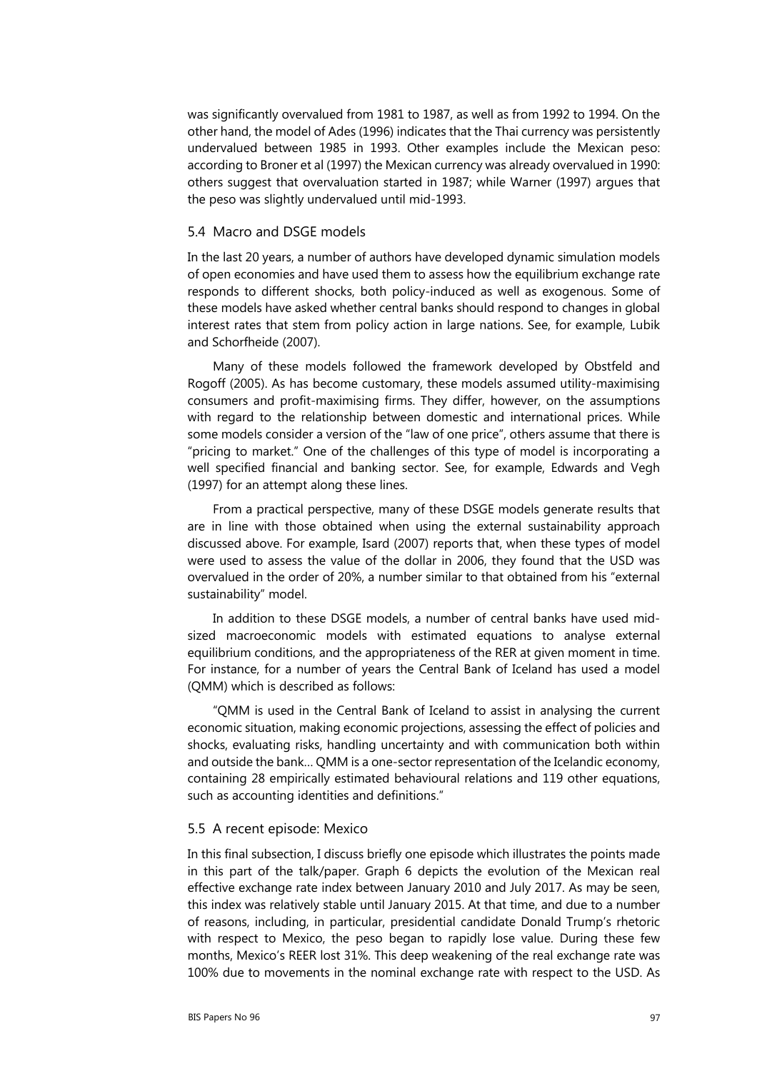was significantly overvalued from 1981 to 1987, as well as from 1992 to 1994. On the other hand, the model of Ades (1996) indicates that the Thai currency was persistently undervalued between 1985 in 1993. Other examples include the Mexican peso: according to Broner et al (1997) the Mexican currency was already overvalued in 1990: others suggest that overvaluation started in 1987; while Warner (1997) argues that the peso was slightly undervalued until mid-1993.

#### 5.4 Macro and DSGE models

In the last 20 years, a number of authors have developed dynamic simulation models of open economies and have used them to assess how the equilibrium exchange rate responds to different shocks, both policy-induced as well as exogenous. Some of these models have asked whether central banks should respond to changes in global interest rates that stem from policy action in large nations. See, for example, Lubik and Schorfheide (2007).

Many of these models followed the framework developed by Obstfeld and Rogoff (2005). As has become customary, these models assumed utility-maximising consumers and profit-maximising firms. They differ, however, on the assumptions with regard to the relationship between domestic and international prices. While some models consider a version of the "law of one price", others assume that there is "pricing to market." One of the challenges of this type of model is incorporating a well specified financial and banking sector. See, for example, Edwards and Vegh (1997) for an attempt along these lines.

From a practical perspective, many of these DSGE models generate results that are in line with those obtained when using the external sustainability approach discussed above. For example, Isard (2007) reports that, when these types of model were used to assess the value of the dollar in 2006, they found that the USD was overvalued in the order of 20%, a number similar to that obtained from his "external sustainability" model.

In addition to these DSGE models, a number of central banks have used midsized macroeconomic models with estimated equations to analyse external equilibrium conditions, and the appropriateness of the RER at given moment in time. For instance, for a number of years the Central Bank of Iceland has used a model (QMM) which is described as follows:

"QMM is used in the Central Bank of Iceland to assist in analysing the current economic situation, making economic projections, assessing the effect of policies and shocks, evaluating risks, handling uncertainty and with communication both within and outside the bank… QMM is a one-sector representation of the Icelandic economy, containing 28 empirically estimated behavioural relations and 119 other equations, such as accounting identities and definitions."

#### 5.5 A recent episode: Mexico

In this final subsection, I discuss briefly one episode which illustrates the points made in this part of the talk/paper. Graph 6 depicts the evolution of the Mexican real effective exchange rate index between January 2010 and July 2017. As may be seen, this index was relatively stable until January 2015. At that time, and due to a number of reasons, including, in particular, presidential candidate Donald Trump's rhetoric with respect to Mexico, the peso began to rapidly lose value. During these few months, Mexico's REER lost 31%. This deep weakening of the real exchange rate was 100% due to movements in the nominal exchange rate with respect to the USD. As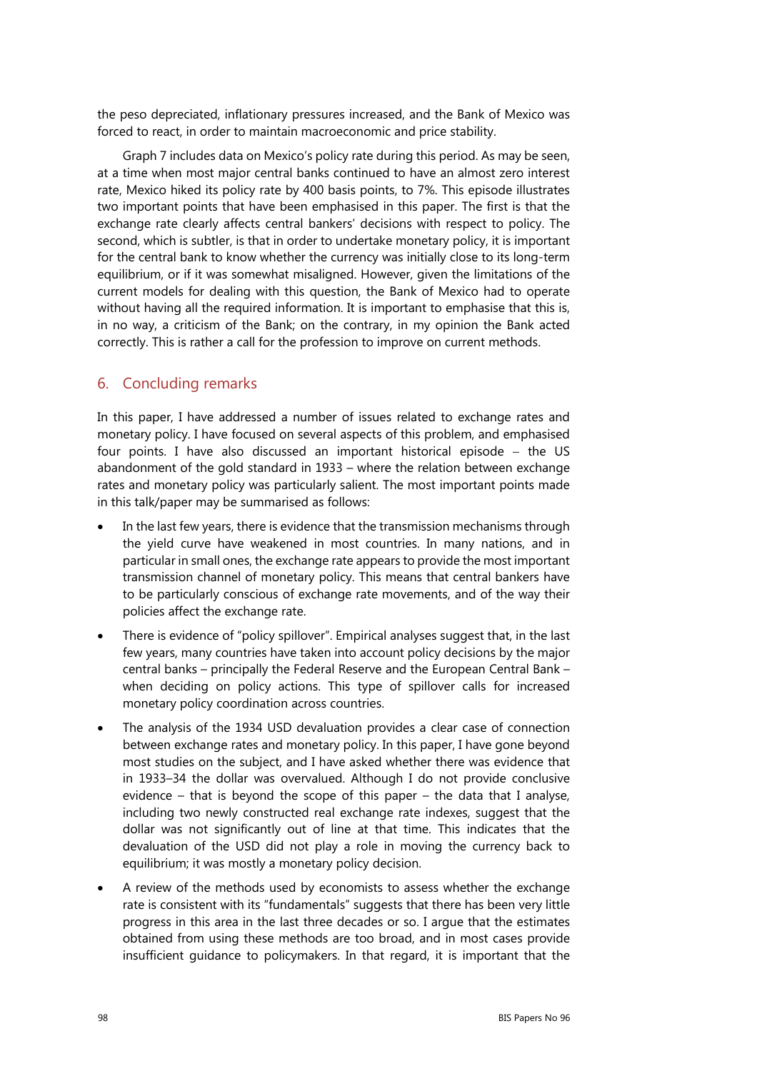the peso depreciated, inflationary pressures increased, and the Bank of Mexico was forced to react, in order to maintain macroeconomic and price stability.

Graph 7 includes data on Mexico's policy rate during this period. As may be seen, at a time when most major central banks continued to have an almost zero interest rate, Mexico hiked its policy rate by 400 basis points, to 7%. This episode illustrates two important points that have been emphasised in this paper. The first is that the exchange rate clearly affects central bankers' decisions with respect to policy. The second, which is subtler, is that in order to undertake monetary policy, it is important for the central bank to know whether the currency was initially close to its long-term equilibrium, or if it was somewhat misaligned. However, given the limitations of the current models for dealing with this question, the Bank of Mexico had to operate without having all the required information. It is important to emphasise that this is, in no way, a criticism of the Bank; on the contrary, in my opinion the Bank acted correctly. This is rather a call for the profession to improve on current methods.

## 6. Concluding remarks

In this paper, I have addressed a number of issues related to exchange rates and monetary policy. I have focused on several aspects of this problem, and emphasised four points. I have also discussed an important historical episode  $-$  the US abandonment of the gold standard in 1933 – where the relation between exchange rates and monetary policy was particularly salient. The most important points made in this talk/paper may be summarised as follows:

- In the last few years, there is evidence that the transmission mechanisms through the yield curve have weakened in most countries. In many nations, and in particular in small ones, the exchange rate appears to provide the most important transmission channel of monetary policy. This means that central bankers have to be particularly conscious of exchange rate movements, and of the way their policies affect the exchange rate.
- There is evidence of "policy spillover". Empirical analyses suggest that, in the last few years, many countries have taken into account policy decisions by the major central banks – principally the Federal Reserve and the European Central Bank – when deciding on policy actions. This type of spillover calls for increased monetary policy coordination across countries.
- The analysis of the 1934 USD devaluation provides a clear case of connection between exchange rates and monetary policy. In this paper, I have gone beyond most studies on the subject, and I have asked whether there was evidence that in 1933–34 the dollar was overvalued. Although I do not provide conclusive evidence – that is beyond the scope of this paper – the data that I analyse, including two newly constructed real exchange rate indexes, suggest that the dollar was not significantly out of line at that time. This indicates that the devaluation of the USD did not play a role in moving the currency back to equilibrium; it was mostly a monetary policy decision.
- A review of the methods used by economists to assess whether the exchange rate is consistent with its "fundamentals" suggests that there has been very little progress in this area in the last three decades or so. I argue that the estimates obtained from using these methods are too broad, and in most cases provide insufficient guidance to policymakers. In that regard, it is important that the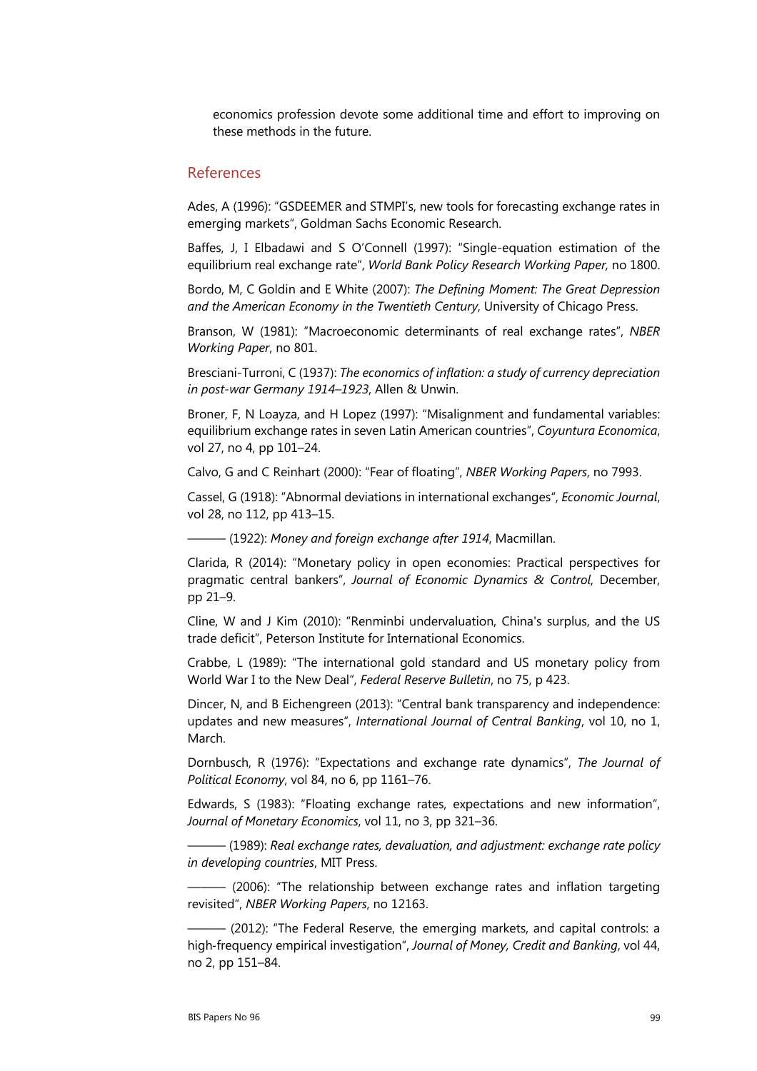economics profession devote some additional time and effort to improving on these methods in the future.

#### References

Ades, A (1996): "GSDEEMER and STMPI's, new tools for forecasting exchange rates in emerging markets", Goldman Sachs Economic Research.

Baffes, J, I Elbadawi and S O'Connell (1997): "Single-equation estimation of the equilibrium real exchange rate", *World Bank Policy Research Working Paper,* no 1800.

Bordo, M, C Goldin and E White (2007): *The Defining Moment: The Great Depression and the American Economy in the Twentieth Century*, University of Chicago Press.

Branson, W (1981): "Macroeconomic determinants of real exchange rates", *NBER Working Paper*, no 801.

Bresciani-Turroni, C (1937): *The economics of inflation: a study of currency depreciation in post-war Germany 1914–1923*, Allen & Unwin.

Broner, F, N Loayza, and H Lopez (1997): "Misalignment and fundamental variables: equilibrium exchange rates in seven Latin American countries", *Coyuntura Economica*, vol 27, no 4, pp 101–24.

Calvo, G and C Reinhart (2000): "Fear of floating", *NBER Working Papers*, no 7993.

Cassel, G (1918): "Abnormal deviations in international exchanges", *Economic Journal*, vol 28, no 112, pp 413–15.

——— (1922): *Money and foreign exchange after 1914*, Macmillan.

Clarida, R (2014): "Monetary policy in open economies: Practical perspectives for pragmatic central bankers", *Journal of Economic Dynamics & Control*, December, pp 21–9.

Cline, W and J Kim (2010): "Renminbi undervaluation, China's surplus, and the US trade deficit", Peterson Institute for International Economics.

Crabbe, L (1989): "The international gold standard and US monetary policy from World War I to the New Deal", *Federal Reserve Bulletin*, no 75, p 423.

Dincer, N, and B Eichengreen (2013): "Central bank transparency and independence: updates and new measures", *International Journal of Central Banking*, vol 10, no 1, March.

Dornbusch, R (1976): "Expectations and exchange rate dynamics", *The Journal of Political Economy*, vol 84, no 6, pp 1161–76.

Edwards, S (1983): "Floating exchange rates, expectations and new information", *Journal of Monetary Economics*, vol 11, no 3, pp 321–36.

——— (1989): *Real exchange rates, devaluation, and adjustment: exchange rate policy in developing countries*, MIT Press.

 $-$  (2006): "The relationship between exchange rates and inflation targeting revisited", *NBER Working Papers*, no 12163.

——— (2012): "The Federal Reserve, the emerging markets, and capital controls: a high‐frequency empirical investigation", *Journal of Money, Credit and Banking*, vol 44, no 2, pp 151–84.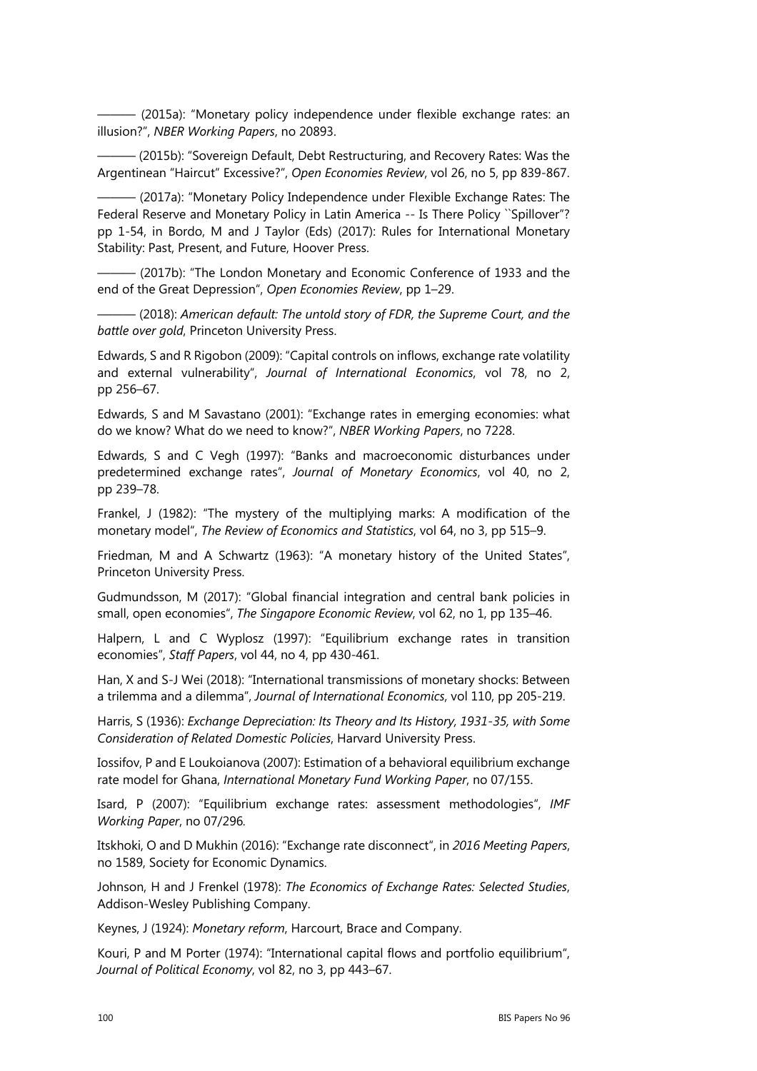——— (2015a): "Monetary policy independence under flexible exchange rates: an illusion?", *NBER Working Papers*, no 20893.

——— (2015b): "Sovereign Default, Debt Restructuring, and Recovery Rates: Was the Argentinean "Haircut" Excessive?", *Open Economies Review*, vol 26, no 5, pp 839-867.

- (2017a): "Monetary Policy Independence under Flexible Exchange Rates: The Federal Reserve and Monetary Policy in Latin America -- Is There Policy ``Spillover"? pp 1-54, in Bordo, M and J Taylor (Eds) (2017): Rules for International Monetary Stability: Past, Present, and Future, Hoover Press.

 $-$  (2017b): "The London Monetary and Economic Conference of 1933 and the end of the Great Depression", *Open Economies Review*, pp 1–29.

——— (2018): *American default: The untold story of FDR, the Supreme Court, and the battle over gold*, Princeton University Press.

Edwards, S and R Rigobon (2009): "Capital controls on inflows, exchange rate volatility and external vulnerability", *Journal of International Economics*, vol 78, no 2, pp 256–67.

Edwards, S and M Savastano (2001): "Exchange rates in emerging economies: what do we know? What do we need to know?", *NBER Working Papers*, no 7228.

Edwards, S and C Vegh (1997): "Banks and macroeconomic disturbances under predetermined exchange rates", *Journal of Monetary Economics*, vol 40, no 2, pp 239–78.

Frankel, J (1982): "The mystery of the multiplying marks: A modification of the monetary model", *The Review of Economics and Statistics*, vol 64, no 3, pp 515–9.

Friedman, M and A Schwartz (1963): "A monetary history of the United States", Princeton University Press.

Gudmundsson, M (2017): "Global financial integration and central bank policies in small, open economies", *The Singapore Economic Review*, vol 62, no 1, pp 135–46.

Halpern, L and C Wyplosz (1997): "Equilibrium exchange rates in transition economies", *Staff Papers*, vol 44, no 4, pp 430-461.

Han, X and S-J Wei (2018): "International transmissions of monetary shocks: Between a trilemma and a dilemma", *Journal of International Economics*, vol 110, pp 205-219.

Harris, S (1936): *Exchange Depreciation: Its Theory and Its History, 1931-35, with Some Consideration of Related Domestic Policies*, Harvard University Press.

Iossifov, P and E Loukoianova (2007): Estimation of a behavioral equilibrium exchange rate model for Ghana, *International Monetary Fund Working Paper*, no 07/155.

Isard, P (2007): "Equilibrium exchange rates: assessment methodologies", *IMF Working Paper*, no 07/296*.* 

Itskhoki, O and D Mukhin (2016): "Exchange rate disconnect", in *2016 Meeting Papers*, no 1589, Society for Economic Dynamics.

Johnson, H and J Frenkel (1978): *The Economics of Exchange Rates: Selected Studies*, Addison-Wesley Publishing Company.

Keynes, J (1924): *Monetary reform*, Harcourt, Brace and Company.

Kouri, P and M Porter (1974): "International capital flows and portfolio equilibrium", *Journal of Political Economy*, vol 82, no 3, pp 443–67.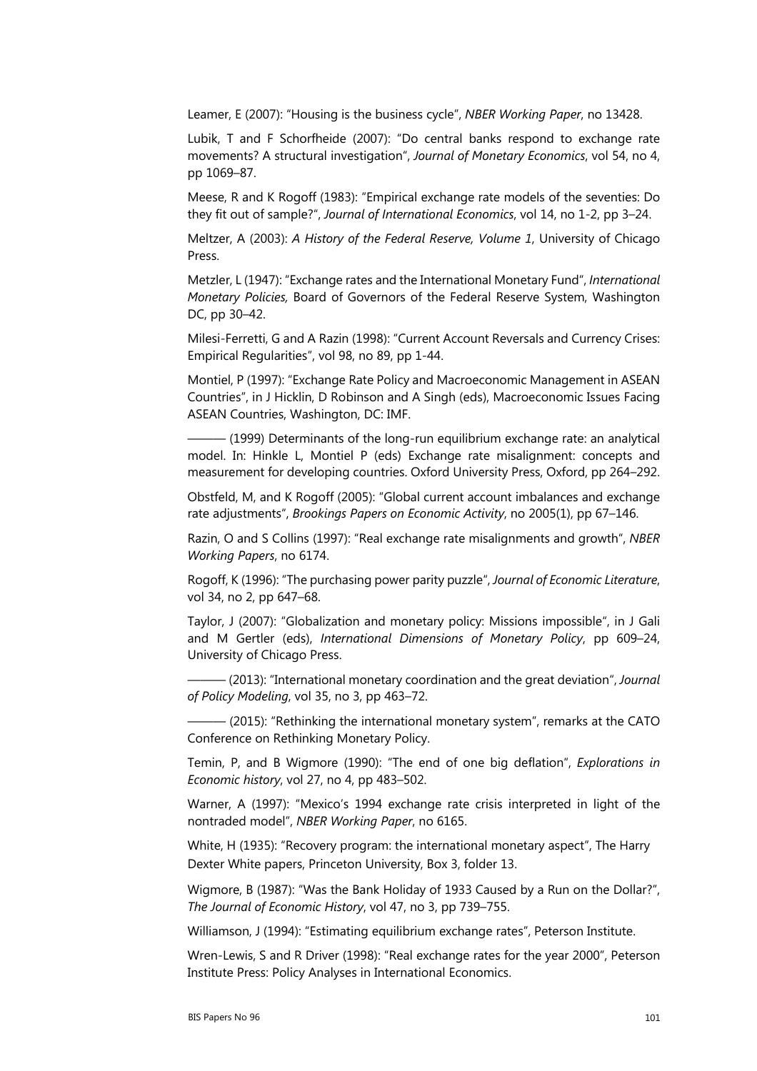Leamer, E (2007): "Housing is the business cycle", *NBER Working Paper*, no 13428.

Lubik, T and F Schorfheide (2007): "Do central banks respond to exchange rate movements? A structural investigation", *Journal of Monetary Economics*, vol 54, no 4, pp 1069–87.

Meese, R and K Rogoff (1983): "Empirical exchange rate models of the seventies: Do they fit out of sample?", *Journal of International Economics*, vol 14, no 1-2, pp 3–24.

Meltzer, A (2003): *A History of the Federal Reserve, Volume 1*, University of Chicago Press.

Metzler, L (1947): "Exchange rates and the International Monetary Fund", *International Monetary Policies,* Board of Governors of the Federal Reserve System, Washington DC, pp 30–42.

Milesi-Ferretti, G and A Razin (1998): "Current Account Reversals and Currency Crises: Empirical Regularities", vol 98, no 89, pp 1-44.

Montiel, P (1997): "Exchange Rate Policy and Macroeconomic Management in ASEAN Countries", in J Hicklin, D Robinson and A Singh (eds), Macroeconomic Issues Facing ASEAN Countries, Washington, DC: IMF.

 $-$  (1999) Determinants of the long-run equilibrium exchange rate: an analytical model. In: Hinkle L, Montiel P (eds) Exchange rate misalignment: concepts and measurement for developing countries. Oxford University Press, Oxford, pp 264–292.

Obstfeld, M, and K Rogoff (2005): "Global current account imbalances and exchange rate adjustments", *Brookings Papers on Economic Activity*, no 2005(1), pp 67–146.

Razin, O and S Collins (1997): "Real exchange rate misalignments and growth", *NBER Working Papers*, no 6174.

Rogoff, K (1996): "The purchasing power parity puzzle", *Journal of Economic Literature*, vol 34, no 2, pp 647–68.

Taylor, J (2007): "Globalization and monetary policy: Missions impossible", in J Gali and M Gertler (eds), *International Dimensions of Monetary Policy*, pp 609–24, University of Chicago Press.

——— (2013): "International monetary coordination and the great deviation", *Journal of Policy Modeling*, vol 35, no 3, pp 463–72.

 $-$  (2015): "Rethinking the international monetary system", remarks at the CATO Conference on Rethinking Monetary Policy.

Temin, P, and B Wigmore (1990): "The end of one big deflation", *Explorations in Economic history*, vol 27, no 4, pp 483–502.

Warner, A (1997): "Mexico's 1994 exchange rate crisis interpreted in light of the nontraded model", *NBER Working Paper*, no 6165.

White, H (1935): "Recovery program: the international monetary aspect", The Harry Dexter White papers, Princeton University, Box 3, folder 13.

Wigmore, B (1987): "Was the Bank Holiday of 1933 Caused by a Run on the Dollar?", *The Journal of Economic History*, vol 47, no 3, pp 739–755.

Williamson, J (1994): "Estimating equilibrium exchange rates", Peterson Institute.

Wren-Lewis, S and R Driver (1998): "Real exchange rates for the year 2000", Peterson Institute Press: Policy Analyses in International Economics.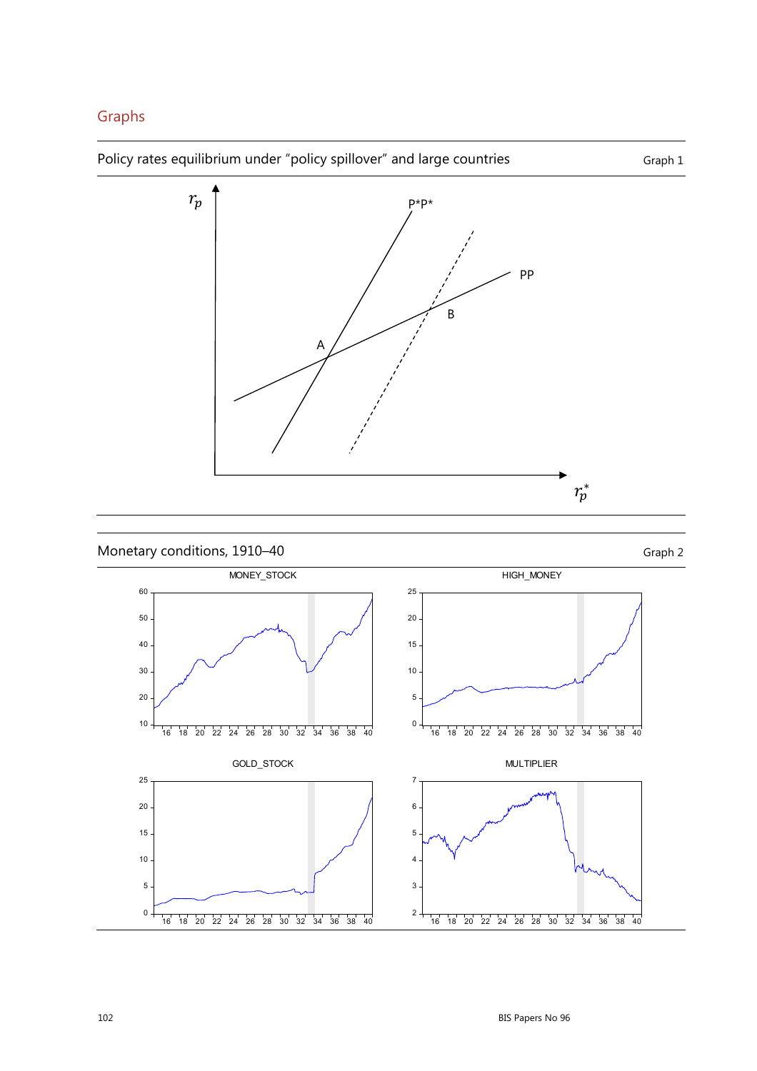## Graphs

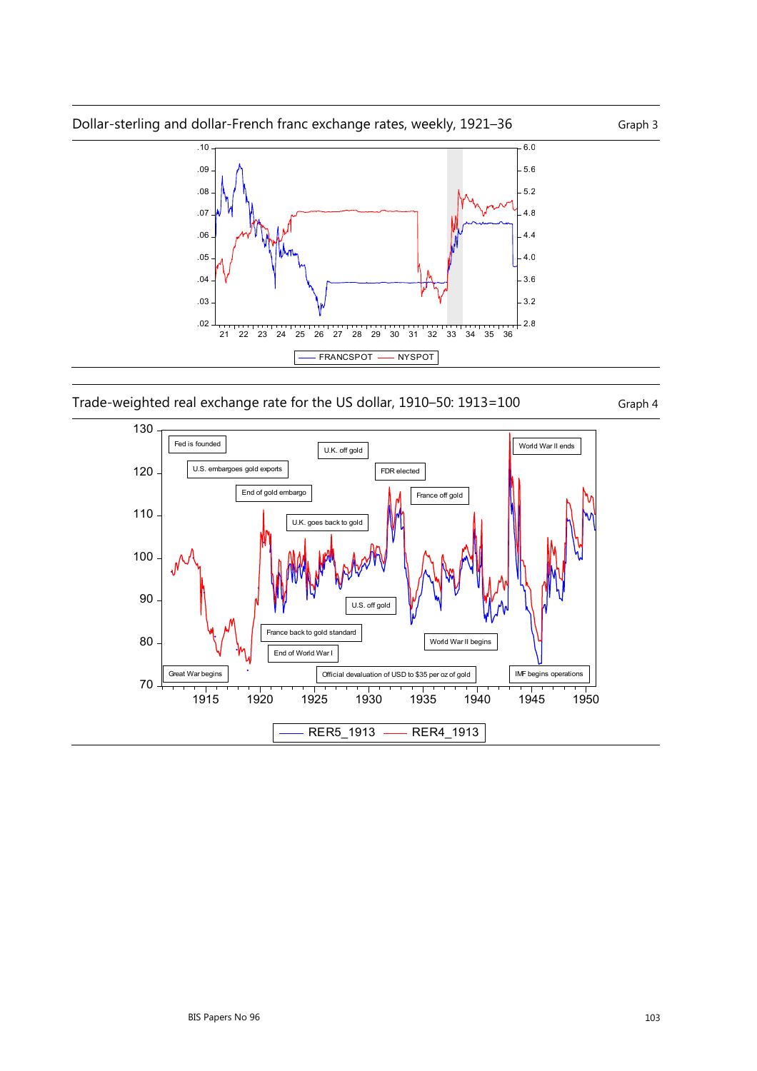

Trade-weighted real exchange rate for the US dollar, 1910–50: 1913=100 Graph 4

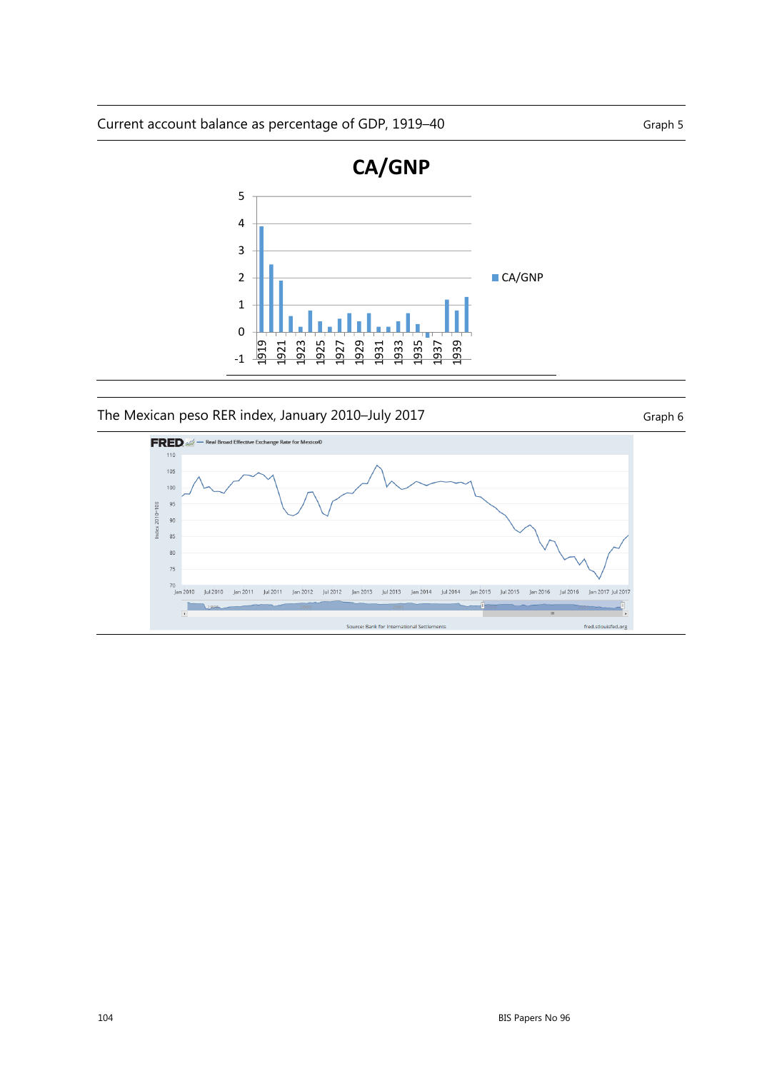Current account balance as percentage of GDP, 1919–40



#### The Mexican peso RER index, January 2010–July 2017 Graph 6

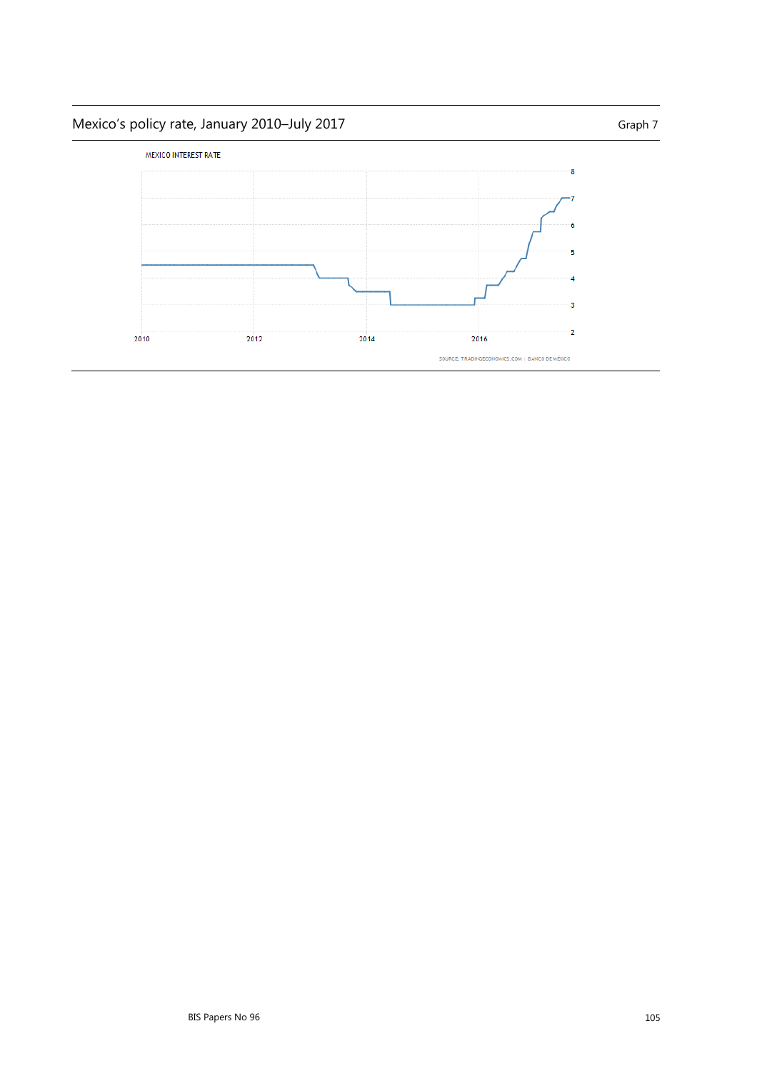# Mexico's policy rate, January 2010–July 2017 Mexico Chaph 7 Graph 7

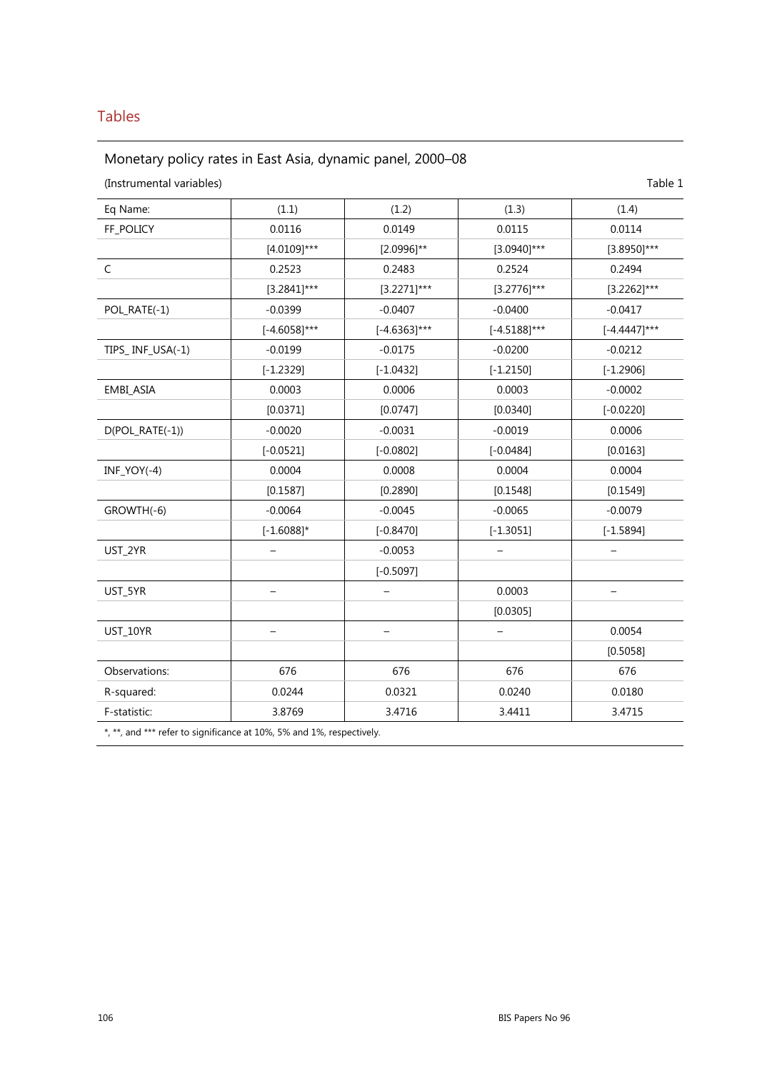## Tables

## Monetary policy rates in East Asia, dynamic panel, 2000–08

| (Instrumental variables) |                   |                   |                          | Table 1                  |
|--------------------------|-------------------|-------------------|--------------------------|--------------------------|
| Eq Name:                 | (1.1)             | (1.2)             | (1.3)                    | (1.4)                    |
| FF_POLICY                | 0.0116            | 0.0149            | 0.0115                   | 0.0114                   |
|                          | $[4.0109]$ ***    | $[2.0996]^{**}$   | $[3.0940]$ ***           | $[3.8950]$ ***           |
| C                        | 0.2523            | 0.2483            | 0.2524                   | 0.2494                   |
|                          | $[3.2841]$ ***    | $[3.2271]***$     | $[3.2776]$ ***           | $[3.2262]$ ***           |
| POL_RATE(-1)             | $-0.0399$         | $-0.0407$         | $-0.0400$                | $-0.0417$                |
|                          | $[-4.6058]$ ***   | $[-4.6363]$ ***   | $[-4.5188]$ ***          | $[-4.4447]$ ***          |
| TIPS_INF_USA(-1)         | $-0.0199$         | $-0.0175$         | $-0.0200$                | $-0.0212$                |
|                          | $[-1.2329]$       | $[-1.0432]$       | $[-1.2150]$              | $[-1.2906]$              |
| EMBI_ASIA                | 0.0003            | 0.0006            | 0.0003                   | $-0.0002$                |
|                          | [0.0371]          | [0.0747]          | [0.0340]                 | $[-0.0220]$              |
| D(POL_RATE(-1))          | $-0.0020$         | $-0.0031$         | $-0.0019$                | 0.0006                   |
|                          | $[-0.0521]$       | $[-0.0802]$       | $[-0.0484]$              | [0.0163]                 |
| $INF_YOY(-4)$            | 0.0004            | 0.0008            | 0.0004                   | 0.0004                   |
|                          | [0.1587]          | [0.2890]          | [0.1548]                 | [0.1549]                 |
| GROWTH(-6)               | $-0.0064$         | $-0.0045$         | $-0.0065$                | $-0.0079$                |
|                          | $[-1.6088]$ *     | $[-0.8470]$       | $[-1.3051]$              | $[-1.5894]$              |
| UST_2YR                  |                   | $-0.0053$         |                          |                          |
|                          |                   | $[-0.5097]$       |                          |                          |
| UST_5YR                  | $\qquad \qquad -$ | $\qquad \qquad -$ | 0.0003                   | $\overline{\phantom{m}}$ |
|                          |                   |                   | [0.0305]                 |                          |
| UST_10YR                 |                   |                   | $\overline{\phantom{0}}$ | 0.0054                   |
|                          |                   |                   |                          | [0.5058]                 |
| Observations:            | 676               | 676               | 676                      | 676                      |
| R-squared:               | 0.0244            | 0.0321            | 0.0240                   | 0.0180                   |
| F-statistic:             | 3.8769            | 3.4716            | 3.4411                   | 3.4715                   |

\*, \*\*, and \*\*\* refer to significance at 10%, 5% and 1%, respectively.